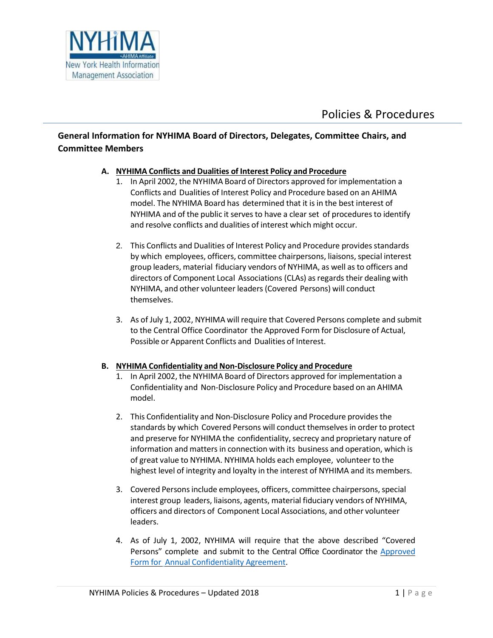

## **General Information for NYHIMA Board of Directors, Delegates, Committee Chairs, and Committee Members**

## **A. NYHIMA Conflicts and Dualities of Interest Policy and Procedure**

- 1. In April 2002, the NYHIMA Board of Directors approved for implementation a Conflicts and Dualities of Interest Policy and Procedure based on an AHIMA model. The NYHIMA Board has determined that it is in the best interest of NYHIMA and of the public it serves to have a clear set of procedures to identify and resolve conflicts and dualities of interest which might occur.
- 2. This Conflicts and Dualities of Interest Policy and Procedure provides standards by which employees, officers, committee chairpersons, liaisons, special interest group leaders, material fiduciary vendors of NYHIMA, as well as to officers and directors of Component Local Associations (CLAs) as regards their dealing with NYHIMA, and other volunteer leaders(Covered Persons) will conduct themselves.
- 3. As of July 1, 2002, NYHIMA will require that Covered Persons complete and submit to the Central Office Coordinator the Approved Form for Disclosure of Actual, Possible or Apparent Conflicts and Dualities of Interest.

#### **B. NYHIMA Confidentiality and Non-Disclosure Policy and Procedure**

- 1. In April 2002, the NYHIMA Board of Directors approved for implementation a Confidentiality and Non-Disclosure Policy and Procedure based on an AHIMA model.
- 2. This Confidentiality and Non-Disclosure Policy and Procedure provides the standards by which Covered Persons will conduct themselves in order to protect and preserve for NYHIMA the confidentiality, secrecy and proprietary nature of information and matters in connection with its business and operation, which is of great value to NYHIMA. NYHIMA holds each employee, volunteer to the highest level of integrity and loyalty in the interest of NYHIMA and its members.
- 3. Covered Persons include employees, officers, committee chairpersons, special interest group leaders, liaisons, agents, material fiduciary vendors of NYHIMA, officers and directors of Component Local Associations, and other volunteer leaders.
- 4. As of July 1, 2002, NYHIMA will require that the above described "Covered Persons" complete and submit to the Central Office Coordinator the [Approved](https://nyhima.memberclicks.net/assets/docs/Confidentiality%20and%20Non-Disclosure.pdf) Form for Annual [Confidentiality](https://nyhima.memberclicks.net/assets/docs/Confidentiality%20and%20Non-Disclosure.pdf) Agreement.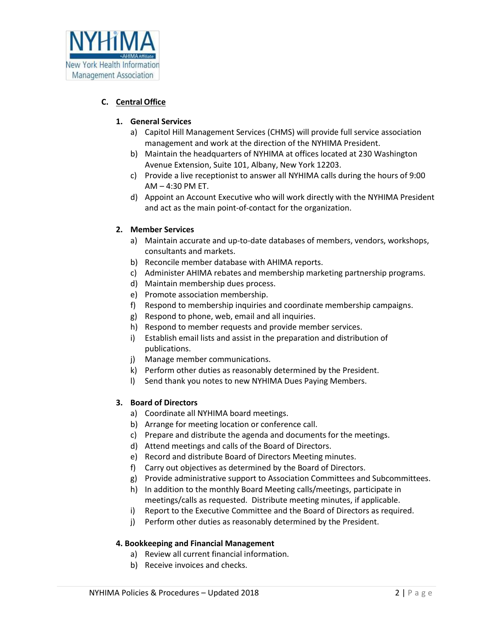

## **C. Central Office**

## **1. General Services**

- a) Capitol Hill Management Services (CHMS) will provide full service association management and work at the direction of the NYHIMA President.
- b) Maintain the headquarters of NYHIMA at offices located at 230 Washington Avenue Extension, Suite 101, Albany, New York 12203.
- c) Provide a live receptionist to answer all NYHIMA calls during the hours of 9:00 AM – 4:30 PM ET.
- d) Appoint an Account Executive who will work directly with the NYHIMA President and act as the main point-of-contact for the organization.

## **2. Member Services**

- a) Maintain accurate and up-to-date databases of members, vendors, workshops, consultants and markets.
- b) Reconcile member database with AHIMA reports.
- c) Administer AHIMA rebates and membership marketing partnership programs.
- d) Maintain membership dues process.
- e) Promote association membership.
- f) Respond to membership inquiries and coordinate membership campaigns.
- g) Respond to phone, web, email and all inquiries.
- h) Respond to member requests and provide member services.
- i) Establish email lists and assist in the preparation and distribution of publications.
- j) Manage member communications.
- k) Perform other duties as reasonably determined by the President.
- l) Send thank you notes to new NYHIMA Dues Paying Members.

#### **3. Board of Directors**

- a) Coordinate all NYHIMA board meetings.
- b) Arrange for meeting location or conference call.
- c) Prepare and distribute the agenda and documents for the meetings.
- d) Attend meetings and calls of the Board of Directors.
- e) Record and distribute Board of Directors Meeting minutes.
- f) Carry out objectives as determined by the Board of Directors.
- g) Provide administrative support to Association Committees and Subcommittees.
- h) In addition to the monthly Board Meeting calls/meetings, participate in meetings/calls as requested. Distribute meeting minutes, if applicable.
- i) Report to the Executive Committee and the Board of Directors as required.
- j) Perform other duties as reasonably determined by the President.

#### **4. Bookkeeping and Financial Management**

- a) Review all current financial information.
- b) Receive invoices and checks.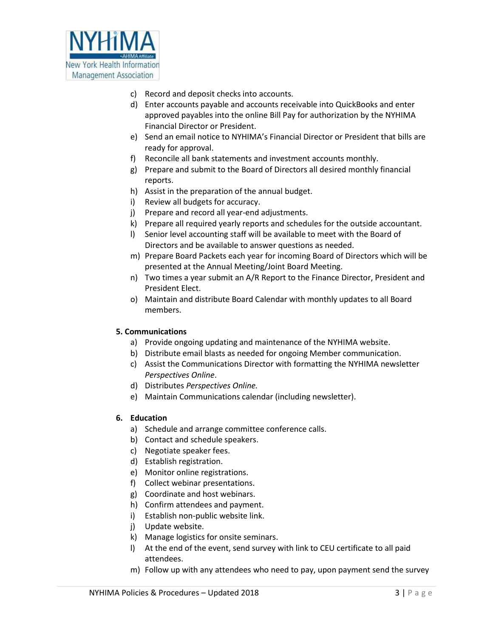

- c) Record and deposit checks into accounts.
- d) Enter accounts payable and accounts receivable into QuickBooks and enter approved payables into the online Bill Pay for authorization by the NYHIMA Financial Director or President.
- e) Send an email notice to NYHIMA's Financial Director or President that bills are ready for approval.
- f) Reconcile all bank statements and investment accounts monthly.
- g) Prepare and submit to the Board of Directors all desired monthly financial reports.
- h) Assist in the preparation of the annual budget.
- i) Review all budgets for accuracy.
- j) Prepare and record all year-end adjustments.
- k) Prepare all required yearly reports and schedules for the outside accountant.
- l) Senior level accounting staff will be available to meet with the Board of Directors and be available to answer questions as needed.
- m) Prepare Board Packets each year for incoming Board of Directors which will be presented at the Annual Meeting/Joint Board Meeting.
- n) Two times a year submit an A/R Report to the Finance Director, President and President Elect.
- o) Maintain and distribute Board Calendar with monthly updates to all Board members.

#### **5. Communications**

- a) Provide ongoing updating and maintenance of the NYHIMA website.
- b) Distribute email blasts as needed for ongoing Member communication.
- c) Assist the Communications Director with formatting the NYHIMA newsletter *Perspectives Online*.
- d) Distributes *Perspectives Online.*
- e) Maintain Communications calendar (including newsletter).

## **6. Education**

- a) Schedule and arrange committee conference calls.
- b) Contact and schedule speakers.
- c) Negotiate speaker fees.
- d) Establish registration.
- e) Monitor online registrations.
- f) Collect webinar presentations.
- g) Coordinate and host webinars.
- h) Confirm attendees and payment.
- i) Establish non-public website link.
- j) Update website.
- k) Manage logistics for onsite seminars.
- l) At the end of the event, send survey with link to CEU certificate to all paid attendees.
- m) Follow up with any attendees who need to pay, upon payment send the survey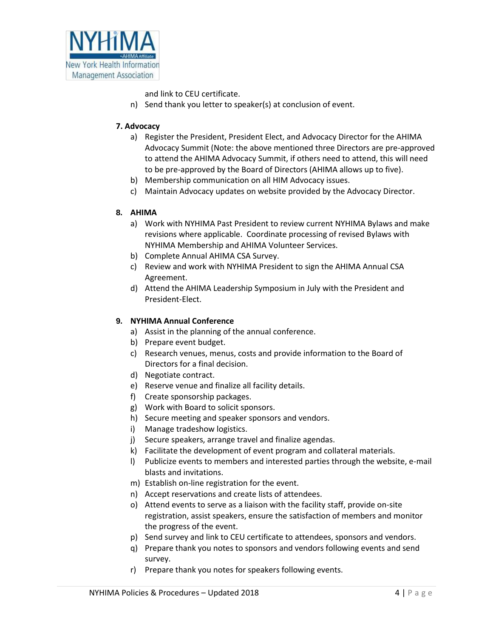

and link to CEU certificate.

n) Send thank you letter to speaker(s) at conclusion of event.

#### **7. Advocacy**

- a) Register the President, President Elect, and Advocacy Director for the AHIMA Advocacy Summit (Note: the above mentioned three Directors are pre-approved to attend the AHIMA Advocacy Summit, if others need to attend, this will need to be pre-approved by the Board of Directors (AHIMA allows up to five).
- b) Membership communication on all HIM Advocacy issues.
- c) Maintain Advocacy updates on website provided by the Advocacy Director.

## **8. AHIMA**

- a) Work with NYHIMA Past President to review current NYHIMA Bylaws and make revisions where applicable. Coordinate processing of revised Bylaws with NYHIMA Membership and AHIMA Volunteer Services.
- b) Complete Annual AHIMA CSA Survey.
- c) Review and work with NYHIMA President to sign the AHIMA Annual CSA Agreement.
- d) Attend the AHIMA Leadership Symposium in July with the President and President-Elect.

#### **9. NYHIMA Annual Conference**

- a) Assist in the planning of the annual conference.
- b) Prepare event budget.
- c) Research venues, menus, costs and provide information to the Board of Directors for a final decision.
- d) Negotiate contract.
- e) Reserve venue and finalize all facility details.
- f) Create sponsorship packages.
- g) Work with Board to solicit sponsors.
- h) Secure meeting and speaker sponsors and vendors.
- i) Manage tradeshow logistics.
- j) Secure speakers, arrange travel and finalize agendas.
- k) Facilitate the development of event program and collateral materials.
- l) Publicize events to members and interested parties through the website, e-mail blasts and invitations.
- m) Establish on-line registration for the event.
- n) Accept reservations and create lists of attendees.
- o) Attend events to serve as a liaison with the facility staff, provide on-site registration, assist speakers, ensure the satisfaction of members and monitor the progress of the event.
- p) Send survey and link to CEU certificate to attendees, sponsors and vendors.
- q) Prepare thank you notes to sponsors and vendors following events and send survey.
- r) Prepare thank you notes for speakers following events.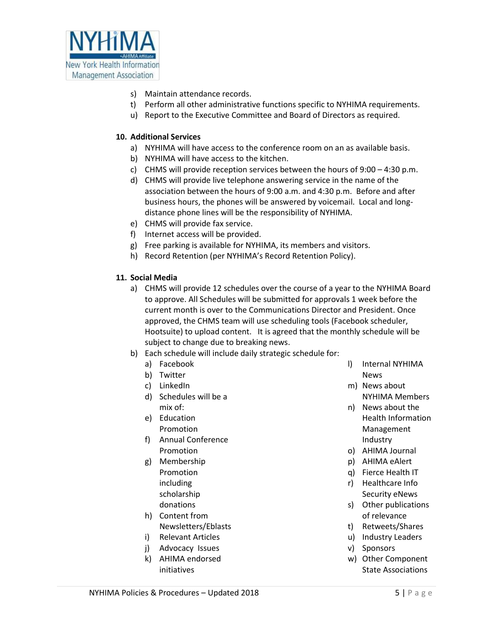

- s) Maintain attendance records.
- t) Perform all other administrative functions specific to NYHIMA requirements.
- u) Report to the Executive Committee and Board of Directors as required.

#### **10. Additional Services**

- a) NYHIMA will have access to the conference room on an as available basis.
- b) NYHIMA will have access to the kitchen.
- c) CHMS will provide reception services between the hours of 9:00 4:30 p.m.
- d) CHMS will provide live telephone answering service in the name of the association between the hours of 9:00 a.m. and 4:30 p.m. Before and after business hours, the phones will be answered by voicemail. Local and longdistance phone lines will be the responsibility of NYHIMA.
- e) CHMS will provide fax service.
- f) Internet access will be provided.
- g) Free parking is available for NYHIMA, its members and visitors.
- h) Record Retention (per NYHIMA's Record Retention Policy).

## **11. Social Media**

- a) CHMS will provide 12 schedules over the course of a year to the NYHIMA Board to approve. All Schedules will be submitted for approvals 1 week before the current month is over to the Communications Director and President. Once approved, the CHMS team will use scheduling tools (Facebook scheduler, Hootsuite) to upload content. It is agreed that the monthly schedule will be subject to change due to breaking news.
- b) Each schedule will include daily strategic schedule for:
	- a) Facebook
	- b) Twitter
	- c) LinkedIn
	- d) Schedules will be a mix of:
	- e) Education Promotion
	- f) Annual Conference Promotion
	- g) Membership Promotion including scholarship donations
	- h) Content from Newsletters/Eblasts
	- i) Relevant Articles
	- j) Advocacy Issues
	- k) AHIMA endorsed initiatives
- l) Internal NYHIMA News
- m) News about NYHIMA Members
- n) News about the Health Information Management Industry
- o) AHIMA Journal
- p) AHIMA eAlert
- q) Fierce Health IT
- r) Healthcare Info Security eNews
- s) Other publications of relevance
- t) Retweets/Shares
- u) Industry Leaders
- v) Sponsors
- w) Other Component State Associations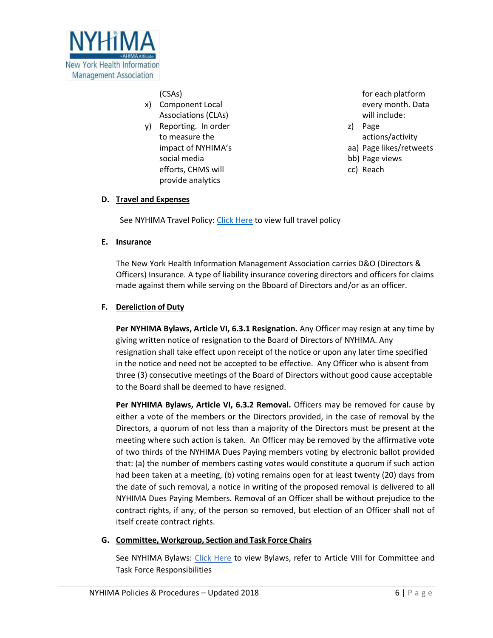

(CSAs)

- x) Component Local Associations (CLAs)
- y) Reporting. In order to measure the impact of NYHIMA's social media efforts, CHMS will provide analytics

for each platform every month. Data will include:

- z) Page actions/activity
- aa) Page likes/retweets
- bb) Page views
- cc) Reach

## **D. Travel and Expenses**

See NYHIMA Travel Policy: [Click Here](https://nyhima.memberclicks.net/assets/nyhima%20revised%20travel%20policy-1.1.17.pdf) to view full travel policy

## **E. Insurance**

The New York Health Information Management Association carries D&O (Directors & Officers) Insurance. A type of liability insurance covering directors and officers for claims made against them while serving on the Bboard of Directors and/or as an officer.

## **F. Dereliction of Duty**

**Per NYHIMA Bylaws, Article VI, 6.3.1 Resignation.** Any Officer may resign at any time by giving written notice of resignation to the Board of Directors of NYHIMA. Any resignation shall take effect upon receipt of the notice or upon any later time specified in the notice and need not be accepted to be effective. Any Officer who is absent from three (3) consecutive meetings of the Board of Directors without good cause acceptable to the Board shall be deemed to have resigned.

**Per NYHIMA Bylaws, Article VI, 6.3.2 Removal.** Officers may be removed for cause by either a vote of the members or the Directors provided, in the case of removal by the Directors, a quorum of not less than a majority of the Directors must be present at the meeting where such action is taken. An Officer may be removed by the affirmative vote of two thirds of the NYHIMA Dues Paying members voting by electronic ballot provided that: (a) the number of members casting votes would constitute a quorum if such action had been taken at a meeting, (b) voting remains open for at least twenty (20) days from the date of such removal, a notice in writing of the proposed removal is delivered to all NYHIMA Dues Paying Members. Removal of an Officer shall be without prejudice to the contract rights, if any, of the person so removed, but election of an Officer shall not of itself create contract rights.

## **G. Committee, Workgroup, Section and Task Force Chairs**

See NYHIMA Bylaws: [Click Here](https://nyhima.memberclicks.net/assets/NYHIMA%20Bylaws_January%202018.pdf) to view Bylaws, refer to Article VIII for Committee and Task Force Responsibilities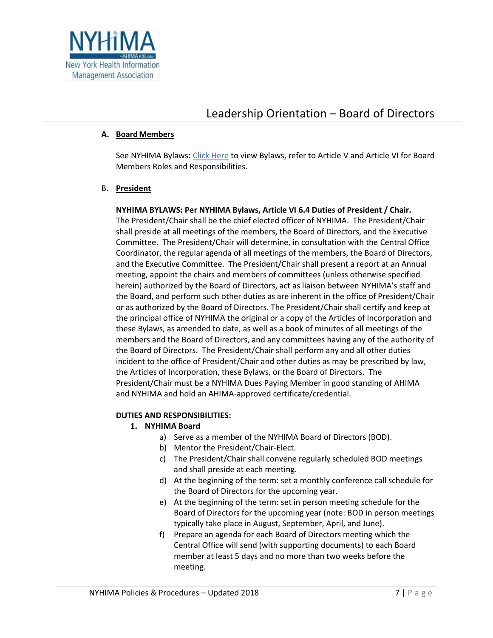

## Leadership Orientation – Board of Directors

#### **A. BoardMembers**

See NYHIMA Bylaws: [Click Here](https://nyhima.memberclicks.net/assets/NYHIMA%20Bylaws_January%202018.pdf) to view Bylaws, refer to Article V and Article VI for Board Members Roles and Responsibilities.

#### B. **President**

## **NYHIMA BYLAWS: Per NYHIMA Bylaws, Article VI 6.4 Duties of President / Chair.**

The President/Chair shall be the chief elected officer of NYHIMA. The President/Chair shall preside at all meetings of the members, the Board of Directors, and the Executive Committee. The President/Chair will determine, in consultation with the Central Office Coordinator, the regular agenda of all meetings of the members, the Board of Directors, and the Executive Committee. The President/Chair shall present a report at an Annual meeting, appoint the chairs and members of committees (unless otherwise specified herein) authorized by the Board of Directors, act as liaison between NYHIMA's staff and the Board, and perform such other duties as are inherent in the office of President/Chair or as authorized by the Board of Directors. The President/Chair shall certify and keep at the principal office of NYHIMA the original or a copy of the Articles of Incorporation and these Bylaws, as amended to date, as well as a book of minutes of all meetings of the members and the Board of Directors, and any committees having any of the authority of the Board of Directors. The President/Chair shall perform any and all other duties incident to the office of President/Chair and other duties as may be prescribed by law, the Articles of Incorporation, these Bylaws, or the Board of Directors. The President/Chair must be a NYHIMA Dues Paying Member in good standing of AHIMA and NYHIMA and hold an AHIMA-approved certificate/credential.

#### **DUTIES AND RESPONSIBILITIES:**

## **1. NYHIMA Board**

- a) Serve as a member of the NYHIMA Board of Directors (BOD).
- b) Mentor the President/Chair-Elect.
- c) The President/Chair shall convene regularly scheduled BOD meetings and shall preside at each meeting.
- d) At the beginning of the term: set a monthly conference call schedule for the Board of Directors for the upcoming year.
- e) At the beginning of the term: set in person meeting schedule for the Board of Directors for the upcoming year (note: BOD in person meetings typically take place in August, September, April, and June).
- f) Prepare an agenda for each Board of Directors meeting which the Central Office will send (with supporting documents) to each Board member at least 5 days and no more than two weeks before the meeting.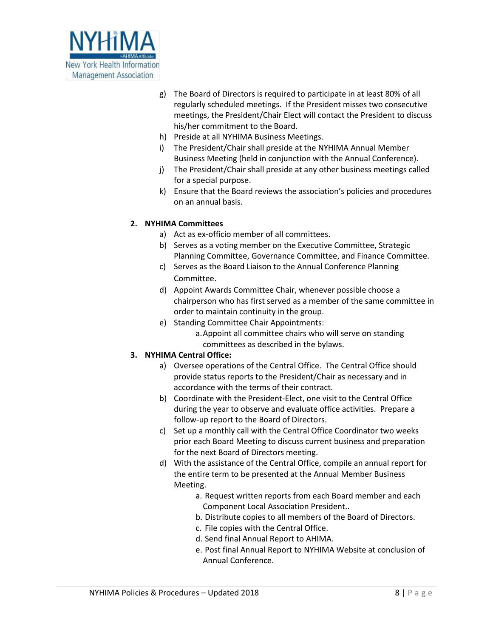

- g) The Board of Directors is required to participate in at least 80% of all regularly scheduled meetings. If the President misses two consecutive meetings, the President/Chair Elect will contact the President to discuss his/her commitment to the Board.
- h) Preside at all NYHIMA Business Meetings.
- i) The President/Chair shall preside at the NYHIMA Annual Member Business Meeting (held in conjunction with the Annual Conference).
- j) The President/Chair shall preside at any other business meetings called for a special purpose.
- k) Ensure that the Board reviews the association's policies and procedures on an annual basis.

## **2. NYHIMA Committees**

- a) Act as ex-officio member of all committees.
- b) Serves as a voting member on the Executive Committee, Strategic Planning Committee, Governance Committee, and Finance Committee.
- c) Serves as the Board Liaison to the Annual Conference Planning Committee.
- d) Appoint Awards Committee Chair, whenever possible choose a chairperson who has first served as a member of the same committee in order to maintain continuity in the group.
- e) Standing Committee Chair Appointments:
	- a.Appoint all committee chairs who will serve on standing committees as described in the bylaws.

## **3. NYHIMA Central Office:**

- a) Oversee operations of the Central Office. The Central Office should provide status reports to the President/Chair as necessary and in accordance with the terms of their contract.
- b) Coordinate with the President-Elect, one visit to the Central Office during the year to observe and evaluate office activities. Prepare a follow-up report to the Board of Directors.
- c) Set up a monthly call with the Central Office Coordinator two weeks prior each Board Meeting to discuss current business and preparation for the next Board of Directors meeting.
- d) With the assistance of the Central Office, compile an annual report for the entire term to be presented at the Annual Member Business Meeting.
	- a. Request written reports from each Board member and each Component Local Association President..
	- b. Distribute copies to all members of the Board of Directors.
	- c. File copies with the Central Office.
	- d. Send final Annual Report to AHIMA.
	- e. Post final Annual Report to NYHIMA Website at conclusion of Annual Conference.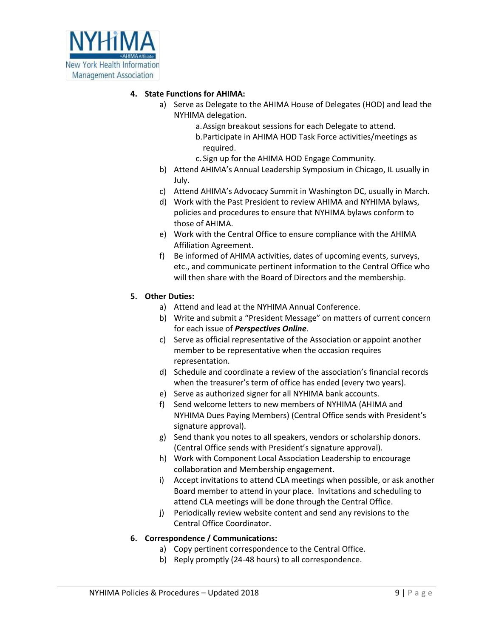

#### **4. State Functions for AHIMA:**

- a) Serve as Delegate to the AHIMA House of Delegates (HOD) and lead the NYHIMA delegation.
	- a.Assign breakout sessions for each Delegate to attend. b.Participate in AHIMA HOD Task Force activities/meetings as required.
	- c. Sign up for the AHIMA HOD Engage Community.
- b) Attend AHIMA's Annual Leadership Symposium in Chicago, IL usually in July.
- c) Attend AHIMA's Advocacy Summit in Washington DC, usually in March.
- d) Work with the Past President to review AHIMA and NYHIMA bylaws, policies and procedures to ensure that NYHIMA bylaws conform to those of AHIMA.
- e) Work with the Central Office to ensure compliance with the AHIMA Affiliation Agreement.
- f) Be informed of AHIMA activities, dates of upcoming events, surveys, etc., and communicate pertinent information to the Central Office who will then share with the Board of Directors and the membership.

## **5. Other Duties:**

- a) Attend and lead at the NYHIMA Annual Conference.
- b) Write and submit a "President Message" on matters of current concern for each issue of *Perspectives Online*.
- c) Serve as official representative of the Association or appoint another member to be representative when the occasion requires representation.
- d) Schedule and coordinate a review of the association's financial records when the treasurer's term of office has ended (every two years).
- e) Serve as authorized signer for all NYHIMA bank accounts.
- f) Send welcome letters to new members of NYHIMA (AHIMA and NYHIMA Dues Paying Members) (Central Office sends with President's signature approval).
- g) Send thank you notes to all speakers, vendors or scholarship donors. (Central Office sends with President's signature approval).
- h) Work with Component Local Association Leadership to encourage collaboration and Membership engagement.
- i) Accept invitations to attend CLA meetings when possible, or ask another Board member to attend in your place. Invitations and scheduling to attend CLA meetings will be done through the Central Office.
- j) Periodically review website content and send any revisions to the Central Office Coordinator.

## **6. Correspondence / Communications:**

- a) Copy pertinent correspondence to the Central Office.
- b) Reply promptly (24-48 hours) to all correspondence.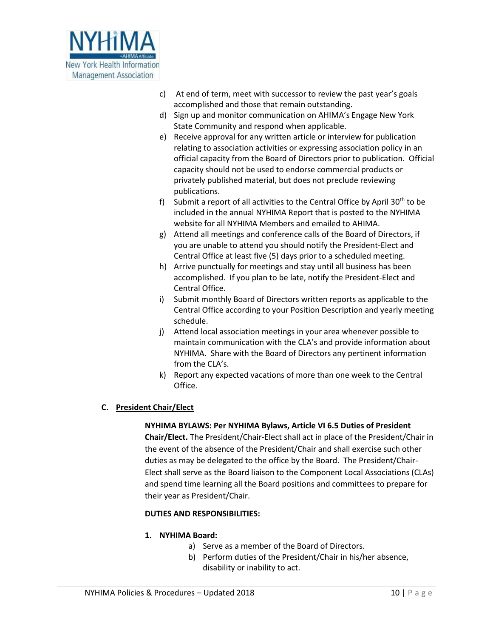

- c) At end of term, meet with successor to review the past year's goals accomplished and those that remain outstanding.
- d) Sign up and monitor communication on AHIMA's Engage New York State Community and respond when applicable.
- e) Receive approval for any written article or interview for publication relating to association activities or expressing association policy in an official capacity from the Board of Directors prior to publication. Official capacity should not be used to endorse commercial products or privately published material, but does not preclude reviewing publications.
- f) Submit a report of all activities to the Central Office by April 30<sup>th</sup> to be included in the annual NYHIMA Report that is posted to the NYHIMA website for all NYHIMA Members and emailed to AHIMA.
- g) Attend all meetings and conference calls of the Board of Directors, if you are unable to attend you should notify the President-Elect and Central Office at least five (5) days prior to a scheduled meeting.
- h) Arrive punctually for meetings and stay until all business has been accomplished. If you plan to be late, notify the President-Elect and Central Office.
- i) Submit monthly Board of Directors written reports as applicable to the Central Office according to your Position Description and yearly meeting schedule.
- j) Attend local association meetings in your area whenever possible to maintain communication with the CLA's and provide information about NYHIMA. Share with the Board of Directors any pertinent information from the CLA's.
- k) Report any expected vacations of more than one week to the Central Office.

## **C. President Chair/Elect**

## **NYHIMA BYLAWS: Per NYHIMA Bylaws, Article VI 6.5 Duties of President**

**Chair/Elect.** The President/Chair-Elect shall act in place of the President/Chair in the event of the absence of the President/Chair and shall exercise such other duties as may be delegated to the office by the Board. The President/Chair-Elect shall serve as the Board liaison to the Component Local Associations (CLAs) and spend time learning all the Board positions and committees to prepare for their year as President/Chair.

## **DUTIES AND RESPONSIBILITIES:**

## **1. NYHIMA Board:**

- a) Serve as a member of the Board of Directors.
- b) Perform duties of the President/Chair in his/her absence, disability or inability to act.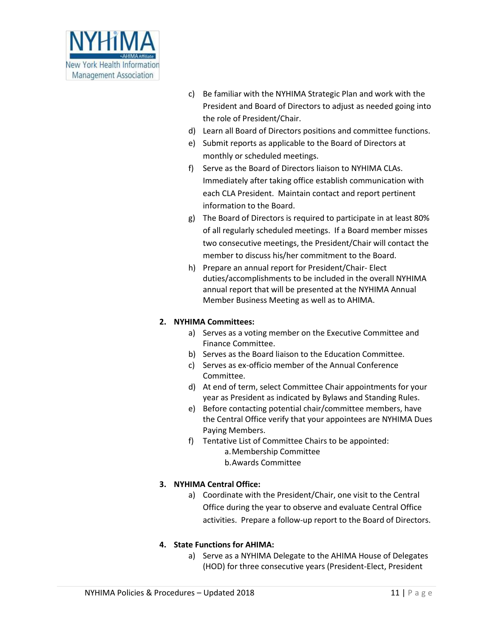

- c) Be familiar with the NYHIMA Strategic Plan and work with the President and Board of Directors to adjust as needed going into the role of President/Chair.
- d) Learn all Board of Directors positions and committee functions.
- e) Submit reports as applicable to the Board of Directors at monthly or scheduled meetings.
- f) Serve as the Board of Directors liaison to NYHIMA CLAs. Immediately after taking office establish communication with each CLA President. Maintain contact and report pertinent information to the Board.
- g) The Board of Directors is required to participate in at least 80% of all regularly scheduled meetings. If a Board member misses two consecutive meetings, the President/Chair will contact the member to discuss his/her commitment to the Board.
- h) Prepare an annual report for President/Chair- Elect duties/accomplishments to be included in the overall NYHIMA annual report that will be presented at the NYHIMA Annual Member Business Meeting as well as to AHIMA.

#### **2. NYHIMA Committees:**

- a) Serves as a voting member on the Executive Committee and Finance Committee.
- b) Serves as the Board liaison to the Education Committee.
- c) Serves as ex-officio member of the Annual Conference Committee.
- d) At end of term, select Committee Chair appointments for your year as President as indicated by Bylaws and Standing Rules.
- e) Before contacting potential chair/committee members, have the Central Office verify that your appointees are NYHIMA Dues Paying Members.
- f) Tentative List of Committee Chairs to be appointed: a.Membership Committee b.Awards Committee

## **3. NYHIMA Central Office:**

a) Coordinate with the President/Chair, one visit to the Central Office during the year to observe and evaluate Central Office activities. Prepare a follow-up report to the Board of Directors.

#### **4. State Functions for AHIMA:**

a) Serve as a NYHIMA Delegate to the AHIMA House of Delegates (HOD) for three consecutive years (President-Elect, President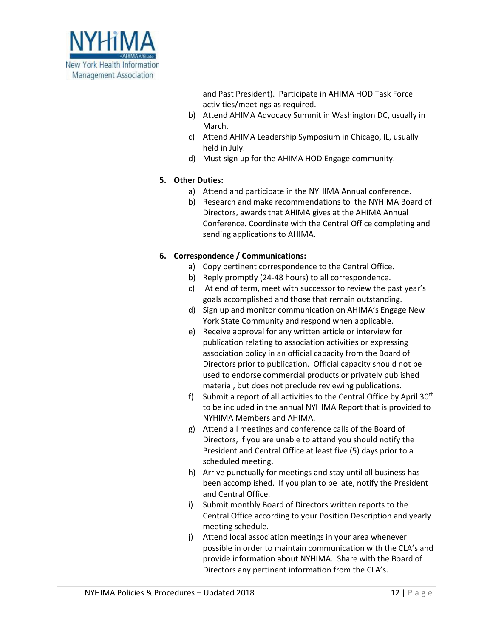

and Past President). Participate in AHIMA HOD Task Force activities/meetings as required.

- b) Attend AHIMA Advocacy Summit in Washington DC, usually in March.
- c) Attend AHIMA Leadership Symposium in Chicago, IL, usually held in July.
- d) Must sign up for the AHIMA HOD Engage community.

## **5. Other Duties:**

- a) Attend and participate in the NYHIMA Annual conference.
- b) Research and make recommendations to the NYHIMA Board of Directors, awards that AHIMA gives at the AHIMA Annual Conference. Coordinate with the Central Office completing and sending applications to AHIMA.

## **6. Correspondence / Communications:**

- a) Copy pertinent correspondence to the Central Office.
- b) Reply promptly (24-48 hours) to all correspondence.
- c) At end of term, meet with successor to review the past year's goals accomplished and those that remain outstanding.
- d) Sign up and monitor communication on AHIMA's Engage New York State Community and respond when applicable.
- e) Receive approval for any written article or interview for publication relating to association activities or expressing association policy in an official capacity from the Board of Directors prior to publication. Official capacity should not be used to endorse commercial products or privately published material, but does not preclude reviewing publications.
- f) Submit a report of all activities to the Central Office by April  $30<sup>th</sup>$ to be included in the annual NYHIMA Report that is provided to NYHIMA Members and AHIMA.
- g) Attend all meetings and conference calls of the Board of Directors, if you are unable to attend you should notify the President and Central Office at least five (5) days prior to a scheduled meeting.
- h) Arrive punctually for meetings and stay until all business has been accomplished. If you plan to be late, notify the President and Central Office.
- i) Submit monthly Board of Directors written reports to the Central Office according to your Position Description and yearly meeting schedule.
- j) Attend local association meetings in your area whenever possible in order to maintain communication with the CLA's and provide information about NYHIMA. Share with the Board of Directors any pertinent information from the CLA's.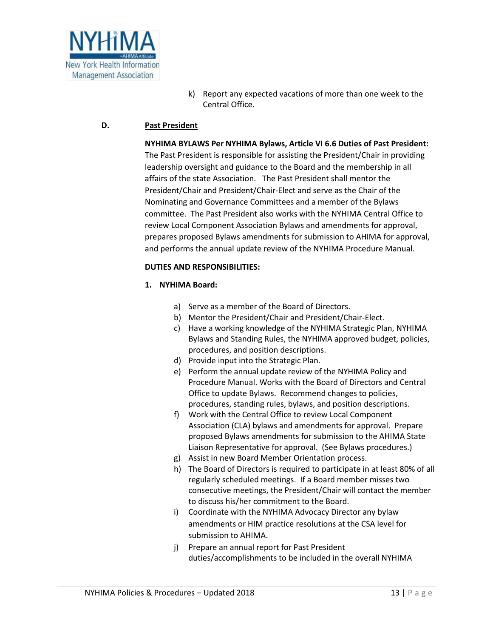

k) Report any expected vacations of more than one week to the Central Office.

## **D. Past President**

#### **NYHIMA BYLAWS Per NYHIMA Bylaws, Article VI 6.6 Duties of Past President:**

The Past President is responsible for assisting the President/Chair in providing leadership oversight and guidance to the Board and the membership in all affairs of the state Association. The Past President shall mentor the President/Chair and President/Chair-Elect and serve as the Chair of the Nominating and Governance Committees and a member of the Bylaws committee. The Past President also works with the NYHIMA Central Office to review Local Component Association Bylaws and amendments for approval, prepares proposed Bylaws amendments for submission to AHIMA for approval, and performs the annual update review of the NYHIMA Procedure Manual.

#### **DUTIES AND RESPONSIBILITIES:**

#### **1. NYHIMA Board:**

- a) Serve as a member of the Board of Directors.
- b) Mentor the President/Chair and President/Chair-Elect.
- c) Have a working knowledge of the NYHIMA Strategic Plan, NYHIMA Bylaws and Standing Rules, the NYHIMA approved budget, policies, procedures, and position descriptions.
- d) Provide input into the Strategic Plan.
- e) Perform the annual update review of the NYHIMA Policy and Procedure Manual. Works with the Board of Directors and Central Office to update Bylaws. Recommend changes to policies, procedures, standing rules, bylaws, and position descriptions.
- f) Work with the Central Office to review Local Component Association (CLA) bylaws and amendments for approval. Prepare proposed Bylaws amendments for submission to the AHIMA State Liaison Representative for approval. (See Bylaws procedures.)
- g) Assist in new Board Member Orientation process.
- h) The Board of Directors is required to participate in at least 80% of all regularly scheduled meetings. If a Board member misses two consecutive meetings, the President/Chair will contact the member to discuss his/her commitment to the Board.
- i) Coordinate with the NYHIMA Advocacy Director any bylaw amendments or HIM practice resolutions at the CSA level for submission to AHIMA.
- j) Prepare an annual report for Past President duties/accomplishments to be included in the overall NYHIMA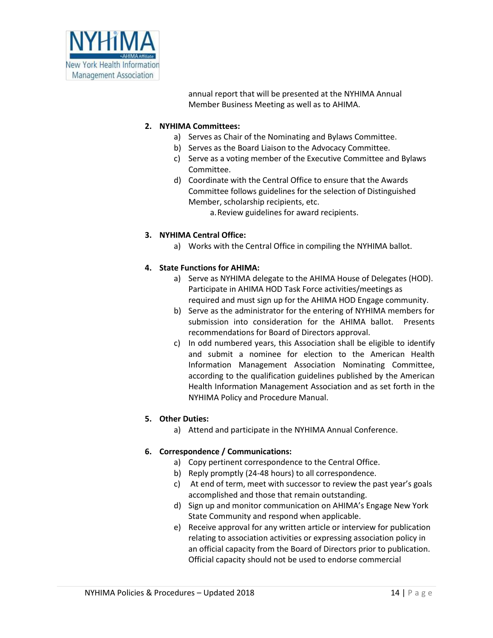

annual report that will be presented at the NYHIMA Annual Member Business Meeting as well as to AHIMA.

## **2. NYHIMA Committees:**

- a) Serves as Chair of the Nominating and Bylaws Committee.
- b) Serves as the Board Liaison to the Advocacy Committee.
- c) Serve as a voting member of the Executive Committee and Bylaws Committee.
- d) Coordinate with the Central Office to ensure that the Awards Committee follows guidelines for the selection of Distinguished Member, scholarship recipients, etc.
	- a.Review guidelines for award recipients.

## **3. NYHIMA Central Office:**

a) Works with the Central Office in compiling the NYHIMA ballot.

## **4. State Functions for AHIMA:**

- a) Serve as NYHIMA delegate to the AHIMA House of Delegates (HOD). Participate in AHIMA HOD Task Force activities/meetings as required and must sign up for the AHIMA HOD Engage community.
- b) Serve as the administrator for the entering of NYHIMA members for submission into consideration for the AHIMA ballot. Presents recommendations for Board of Directors approval.
- c) In odd numbered years, this Association shall be eligible to identify and submit a nominee for election to the American Health Information Management Association Nominating Committee, according to the qualification guidelines published by the American Health Information Management Association and as set forth in the NYHIMA Policy and Procedure Manual.

## **5. Other Duties:**

a) Attend and participate in the NYHIMA Annual Conference.

## **6. Correspondence / Communications:**

- a) Copy pertinent correspondence to the Central Office.
- b) Reply promptly (24-48 hours) to all correspondence.
- c) At end of term, meet with successor to review the past year's goals accomplished and those that remain outstanding.
- d) Sign up and monitor communication on AHIMA's Engage New York State Community and respond when applicable.
- e) Receive approval for any written article or interview for publication relating to association activities or expressing association policy in an official capacity from the Board of Directors prior to publication. Official capacity should not be used to endorse commercial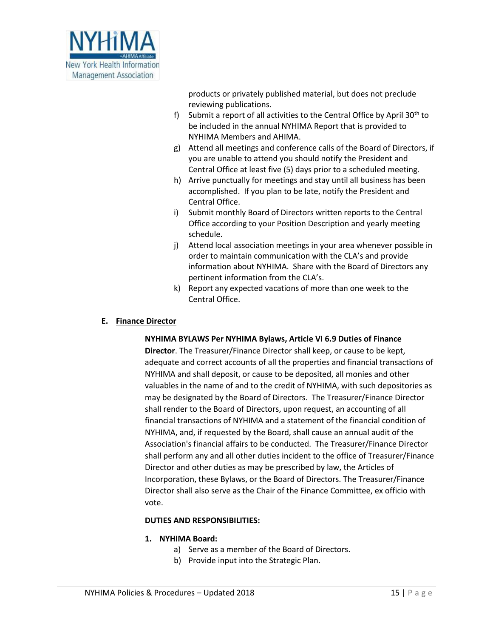

products or privately published material, but does not preclude reviewing publications.

- f) Submit a report of all activities to the Central Office by April  $30<sup>th</sup>$  to be included in the annual NYHIMA Report that is provided to NYHIMA Members and AHIMA.
- g) Attend all meetings and conference calls of the Board of Directors, if you are unable to attend you should notify the President and Central Office at least five (5) days prior to a scheduled meeting.
- h) Arrive punctually for meetings and stay until all business has been accomplished. If you plan to be late, notify the President and Central Office.
- i) Submit monthly Board of Directors written reports to the Central Office according to your Position Description and yearly meeting schedule.
- j) Attend local association meetings in your area whenever possible in order to maintain communication with the CLA's and provide information about NYHIMA. Share with the Board of Directors any pertinent information from the CLA's.
- k) Report any expected vacations of more than one week to the Central Office.

#### **E. Finance Director**

#### **NYHIMA BYLAWS Per NYHIMA Bylaws, Article VI 6.9 Duties of Finance**

**Director**. The Treasurer/Finance Director shall keep, or cause to be kept, adequate and correct accounts of all the properties and financial transactions of NYHIMA and shall deposit, or cause to be deposited, all monies and other valuables in the name of and to the credit of NYHIMA, with such depositories as may be designated by the Board of Directors. The Treasurer/Finance Director shall render to the Board of Directors, upon request, an accounting of all financial transactions of NYHIMA and a statement of the financial condition of NYHIMA, and, if requested by the Board, shall cause an annual audit of the Association's financial affairs to be conducted. The Treasurer/Finance Director shall perform any and all other duties incident to the office of Treasurer/Finance Director and other duties as may be prescribed by law, the Articles of Incorporation, these Bylaws, or the Board of Directors. The Treasurer/Finance Director shall also serve as the Chair of the Finance Committee, ex officio with vote.

#### **DUTIES AND RESPONSIBILITIES:**

#### **1. NYHIMA Board:**

- a) Serve as a member of the Board of Directors.
- b) Provide input into the Strategic Plan.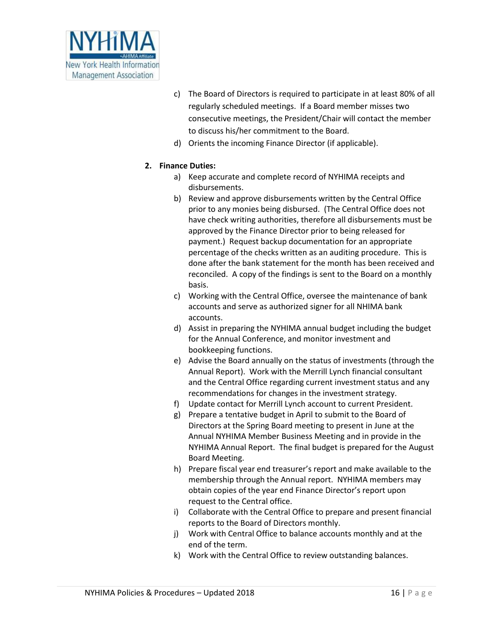

- c) The Board of Directors is required to participate in at least 80% of all regularly scheduled meetings. If a Board member misses two consecutive meetings, the President/Chair will contact the member to discuss his/her commitment to the Board.
- d) Orients the incoming Finance Director (if applicable).

## **2. Finance Duties:**

- a) Keep accurate and complete record of NYHIMA receipts and disbursements.
- b) Review and approve disbursements written by the Central Office prior to any monies being disbursed. (The Central Office does not have check writing authorities, therefore all disbursements must be approved by the Finance Director prior to being released for payment.) Request backup documentation for an appropriate percentage of the checks written as an auditing procedure. This is done after the bank statement for the month has been received and reconciled. A copy of the findings is sent to the Board on a monthly basis.
- c) Working with the Central Office, oversee the maintenance of bank accounts and serve as authorized signer for all NHIMA bank accounts.
- d) Assist in preparing the NYHIMA annual budget including the budget for the Annual Conference, and monitor investment and bookkeeping functions.
- e) Advise the Board annually on the status of investments (through the Annual Report). Work with the Merrill Lynch financial consultant and the Central Office regarding current investment status and any recommendations for changes in the investment strategy.
- f) Update contact for Merrill Lynch account to current President.
- g) Prepare a tentative budget in April to submit to the Board of Directors at the Spring Board meeting to present in June at the Annual NYHIMA Member Business Meeting and in provide in the NYHIMA Annual Report. The final budget is prepared for the August Board Meeting.
- h) Prepare fiscal year end treasurer's report and make available to the membership through the Annual report. NYHIMA members may obtain copies of the year end Finance Director's report upon request to the Central office.
- i) Collaborate with the Central Office to prepare and present financial reports to the Board of Directors monthly.
- j) Work with Central Office to balance accounts monthly and at the end of the term.
- k) Work with the Central Office to review outstanding balances.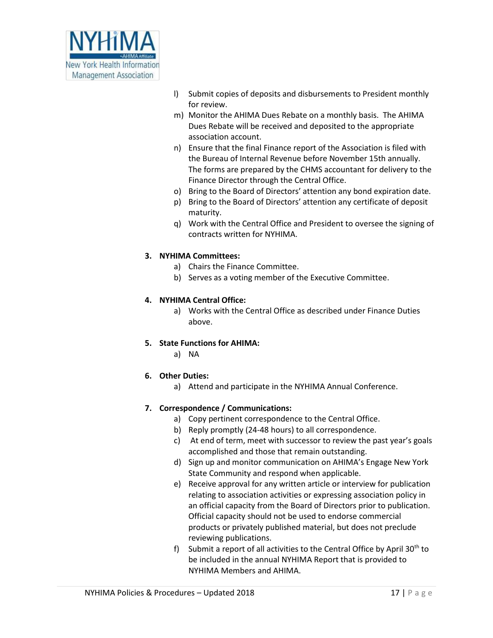

- l) Submit copies of deposits and disbursements to President monthly for review.
- m) Monitor the AHIMA Dues Rebate on a monthly basis. The AHIMA Dues Rebate will be received and deposited to the appropriate association account.
- n) Ensure that the final Finance report of the Association is filed with the Bureau of Internal Revenue before November 15th annually. The forms are prepared by the CHMS accountant for delivery to the Finance Director through the Central Office.
- o) Bring to the Board of Directors' attention any bond expiration date.
- p) Bring to the Board of Directors' attention any certificate of deposit maturity.
- q) Work with the Central Office and President to oversee the signing of contracts written for NYHIMA.

## **3. NYHIMA Committees:**

- a) Chairs the Finance Committee.
- b) Serves as a voting member of the Executive Committee.

## **4. NYHIMA Central Office:**

- a) Works with the Central Office as described under Finance Duties above.
- **5. State Functions for AHIMA:**
	- a) NA

## **6. Other Duties:**

a) Attend and participate in the NYHIMA Annual Conference.

#### **7. Correspondence / Communications:**

- a) Copy pertinent correspondence to the Central Office.
- b) Reply promptly (24-48 hours) to all correspondence.
- c) At end of term, meet with successor to review the past year's goals accomplished and those that remain outstanding.
- d) Sign up and monitor communication on AHIMA's Engage New York State Community and respond when applicable.
- e) Receive approval for any written article or interview for publication relating to association activities or expressing association policy in an official capacity from the Board of Directors prior to publication. Official capacity should not be used to endorse commercial products or privately published material, but does not preclude reviewing publications.
- f) Submit a report of all activities to the Central Office by April  $30<sup>th</sup>$  to be included in the annual NYHIMA Report that is provided to NYHIMA Members and AHIMA.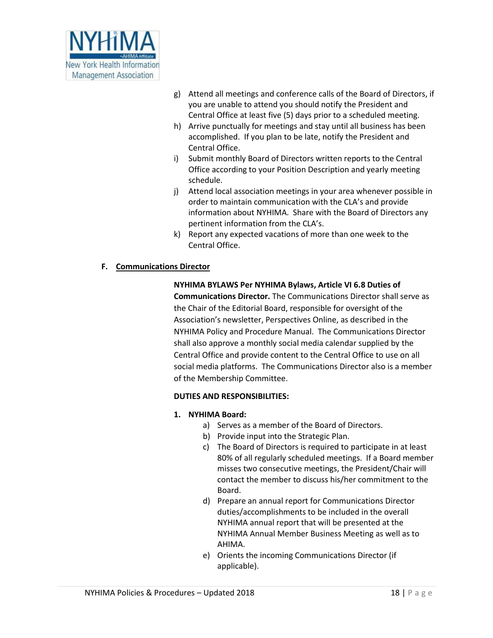

- g) Attend all meetings and conference calls of the Board of Directors, if you are unable to attend you should notify the President and Central Office at least five (5) days prior to a scheduled meeting.
- h) Arrive punctually for meetings and stay until all business has been accomplished. If you plan to be late, notify the President and Central Office.
- i) Submit monthly Board of Directors written reports to the Central Office according to your Position Description and yearly meeting schedule.
- j) Attend local association meetings in your area whenever possible in order to maintain communication with the CLA's and provide information about NYHIMA. Share with the Board of Directors any pertinent information from the CLA's.
- k) Report any expected vacations of more than one week to the Central Office.

## **F. Communications Director**

#### **NYHIMA BYLAWS Per NYHIMA Bylaws, Article VI 6.8 Duties of**

**Communications Director.** The Communications Director shall serve as the Chair of the Editorial Board, responsible for oversight of the Association's newsletter, Perspectives Online, as described in the NYHIMA Policy and Procedure Manual. The Communications Director shall also approve a monthly social media calendar supplied by the Central Office and provide content to the Central Office to use on all social media platforms. The Communications Director also is a member of the Membership Committee.

#### **DUTIES AND RESPONSIBILITIES:**

#### **1. NYHIMA Board:**

- a) Serves as a member of the Board of Directors.
- b) Provide input into the Strategic Plan.
- c) The Board of Directors is required to participate in at least 80% of all regularly scheduled meetings. If a Board member misses two consecutive meetings, the President/Chair will contact the member to discuss his/her commitment to the Board.
- d) Prepare an annual report for Communications Director duties/accomplishments to be included in the overall NYHIMA annual report that will be presented at the NYHIMA Annual Member Business Meeting as well as to AHIMA.
- e) Orients the incoming Communications Director (if applicable).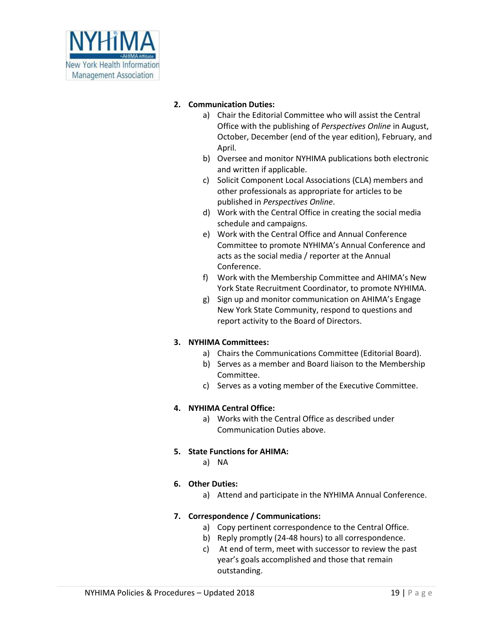

## **2. Communication Duties:**

- a) Chair the Editorial Committee who will assist the Central Office with the publishing of *Perspectives Online* in August, October, December (end of the year edition), February, and April.
- b) Oversee and monitor NYHIMA publications both electronic and written if applicable.
- c) Solicit Component Local Associations (CLA) members and other professionals as appropriate for articles to be published in *Perspectives Online*.
- d) Work with the Central Office in creating the social media schedule and campaigns.
- e) Work with the Central Office and Annual Conference Committee to promote NYHIMA's Annual Conference and acts as the social media / reporter at the Annual Conference.
- f) Work with the Membership Committee and AHIMA's New York State Recruitment Coordinator, to promote NYHIMA.
- g) Sign up and monitor communication on AHIMA's Engage New York State Community, respond to questions and report activity to the Board of Directors.

## **3. NYHIMA Committees:**

- a) Chairs the Communications Committee (Editorial Board).
- b) Serves as a member and Board liaison to the Membership Committee.
- c) Serves as a voting member of the Executive Committee.

## **4. NYHIMA Central Office:**

a) Works with the Central Office as described under Communication Duties above.

## **5. State Functions for AHIMA:**

a) NA

## **6. Other Duties:**

a) Attend and participate in the NYHIMA Annual Conference.

## **7. Correspondence / Communications:**

- a) Copy pertinent correspondence to the Central Office.
- b) Reply promptly (24-48 hours) to all correspondence.
- c) At end of term, meet with successor to review the past year's goals accomplished and those that remain outstanding.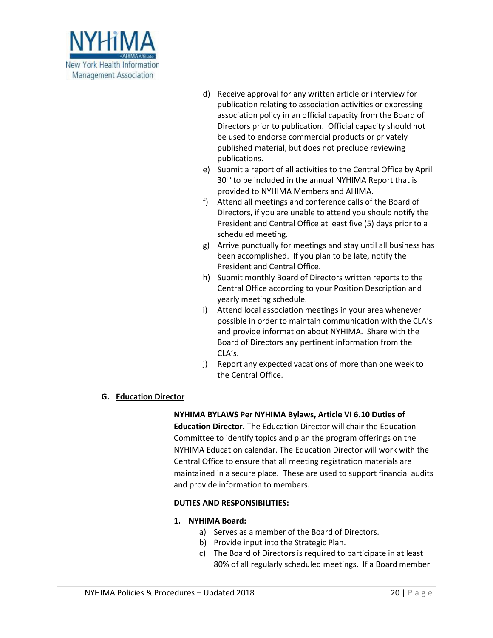

- d) Receive approval for any written article or interview for publication relating to association activities or expressing association policy in an official capacity from the Board of Directors prior to publication. Official capacity should not be used to endorse commercial products or privately published material, but does not preclude reviewing publications.
- e) Submit a report of all activities to the Central Office by April 30<sup>th</sup> to be included in the annual NYHIMA Report that is provided to NYHIMA Members and AHIMA.
- f) Attend all meetings and conference calls of the Board of Directors, if you are unable to attend you should notify the President and Central Office at least five (5) days prior to a scheduled meeting.
- g) Arrive punctually for meetings and stay until all business has been accomplished. If you plan to be late, notify the President and Central Office.
- h) Submit monthly Board of Directors written reports to the Central Office according to your Position Description and yearly meeting schedule.
- i) Attend local association meetings in your area whenever possible in order to maintain communication with the CLA's and provide information about NYHIMA. Share with the Board of Directors any pertinent information from the CLA's.
- j) Report any expected vacations of more than one week to the Central Office.

## **G. Education Director**

**NYHIMA BYLAWS Per NYHIMA Bylaws, Article VI 6.10 Duties of Education Director.** The Education Director will chair the Education Committee to identify topics and plan the program offerings on the NYHIMA Education calendar. The Education Director will work with the Central Office to ensure that all meeting registration materials are maintained in a secure place. These are used to support financial audits and provide information to members.

## **DUTIES AND RESPONSIBILITIES:**

#### **1. NYHIMA Board:**

- a) Serves as a member of the Board of Directors.
- b) Provide input into the Strategic Plan.
- c) The Board of Directors is required to participate in at least 80% of all regularly scheduled meetings. If a Board member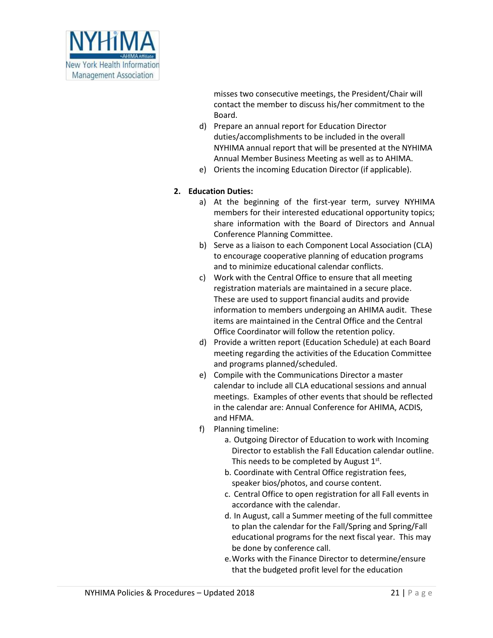

misses two consecutive meetings, the President/Chair will contact the member to discuss his/her commitment to the Board.

- d) Prepare an annual report for Education Director duties/accomplishments to be included in the overall NYHIMA annual report that will be presented at the NYHIMA Annual Member Business Meeting as well as to AHIMA.
- e) Orients the incoming Education Director (if applicable).

## **2. Education Duties:**

- a) At the beginning of the first-year term, survey NYHIMA members for their interested educational opportunity topics; share information with the Board of Directors and Annual Conference Planning Committee.
- b) Serve as a liaison to each Component Local Association (CLA) to encourage cooperative planning of education programs and to minimize educational calendar conflicts.
- c) Work with the Central Office to ensure that all meeting registration materials are maintained in a secure place. These are used to support financial audits and provide information to members undergoing an AHIMA audit. These items are maintained in the Central Office and the Central Office Coordinator will follow the retention policy.
- d) Provide a written report (Education Schedule) at each Board meeting regarding the activities of the Education Committee and programs planned/scheduled.
- e) Compile with the Communications Director a master calendar to include all CLA educational sessions and annual meetings. Examples of other events that should be reflected in the calendar are: Annual Conference for AHIMA, ACDIS, and HFMA.
- f) Planning timeline:
	- a. Outgoing Director of Education to work with Incoming Director to establish the Fall Education calendar outline. This needs to be completed by August  $1<sup>st</sup>$ .
	- b. Coordinate with Central Office registration fees, speaker bios/photos, and course content.
	- c. Central Office to open registration for all Fall events in accordance with the calendar.
	- d. In August, call a Summer meeting of the full committee to plan the calendar for the Fall/Spring and Spring/Fall educational programs for the next fiscal year. This may be done by conference call.
	- e.Works with the Finance Director to determine/ensure that the budgeted profit level for the education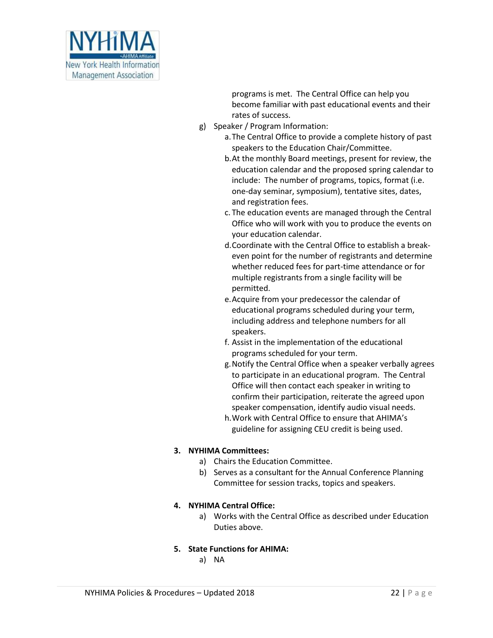

programs is met. The Central Office can help you become familiar with past educational events and their rates of success.

- g) Speaker / Program Information:
	- a.The Central Office to provide a complete history of past speakers to the Education Chair/Committee.
	- b.At the monthly Board meetings, present for review, the education calendar and the proposed spring calendar to include: The number of programs, topics, format (i.e. one-day seminar, symposium), tentative sites, dates, and registration fees.
	- c. The education events are managed through the Central Office who will work with you to produce the events on your education calendar.
	- d.Coordinate with the Central Office to establish a breakeven point for the number of registrants and determine whether reduced fees for part-time attendance or for multiple registrants from a single facility will be permitted.
	- e.Acquire from your predecessor the calendar of educational programs scheduled during your term, including address and telephone numbers for all speakers.
	- f. Assist in the implementation of the educational programs scheduled for your term.
	- g.Notify the Central Office when a speaker verbally agrees to participate in an educational program. The Central Office will then contact each speaker in writing to confirm their participation, reiterate the agreed upon speaker compensation, identify audio visual needs.
	- h.Work with Central Office to ensure that AHIMA's guideline for assigning CEU credit is being used.

## **3. NYHIMA Committees:**

- a) Chairs the Education Committee.
- b) Serves as a consultant for the Annual Conference Planning Committee for session tracks, topics and speakers.

#### **4. NYHIMA Central Office:**

- a) Works with the Central Office as described under Education Duties above.
- **5. State Functions for AHIMA:**
	- a) NA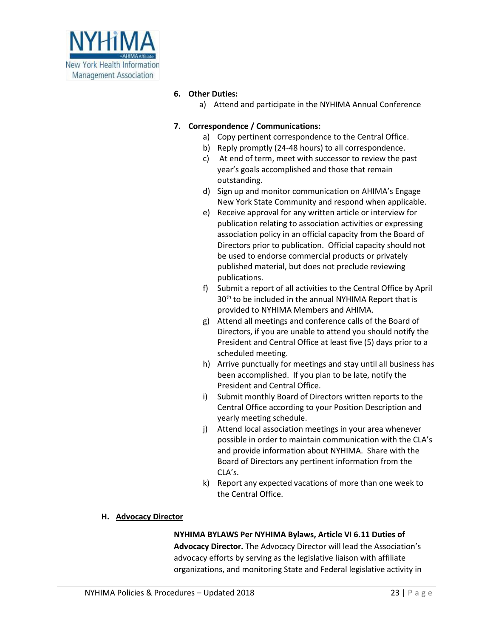

## **6. Other Duties:**

a) Attend and participate in the NYHIMA Annual Conference

## **7. Correspondence / Communications:**

- a) Copy pertinent correspondence to the Central Office.
- b) Reply promptly (24-48 hours) to all correspondence.
- c) At end of term, meet with successor to review the past year's goals accomplished and those that remain outstanding.
- d) Sign up and monitor communication on AHIMA's Engage New York State Community and respond when applicable.
- e) Receive approval for any written article or interview for publication relating to association activities or expressing association policy in an official capacity from the Board of Directors prior to publication. Official capacity should not be used to endorse commercial products or privately published material, but does not preclude reviewing publications.
- f) Submit a report of all activities to the Central Office by April 30<sup>th</sup> to be included in the annual NYHIMA Report that is provided to NYHIMA Members and AHIMA.
- g) Attend all meetings and conference calls of the Board of Directors, if you are unable to attend you should notify the President and Central Office at least five (5) days prior to a scheduled meeting.
- h) Arrive punctually for meetings and stay until all business has been accomplished. If you plan to be late, notify the President and Central Office.
- i) Submit monthly Board of Directors written reports to the Central Office according to your Position Description and yearly meeting schedule.
- j) Attend local association meetings in your area whenever possible in order to maintain communication with the CLA's and provide information about NYHIMA. Share with the Board of Directors any pertinent information from the CLA's.
- k) Report any expected vacations of more than one week to the Central Office.

## **H. Advocacy Director**

## **NYHIMA BYLAWS Per NYHIMA Bylaws, Article VI 6.11 Duties of Advocacy Director.** The Advocacy Director will lead the Association's advocacy efforts by serving as the legislative liaison with affiliate organizations, and monitoring State and Federal legislative activity in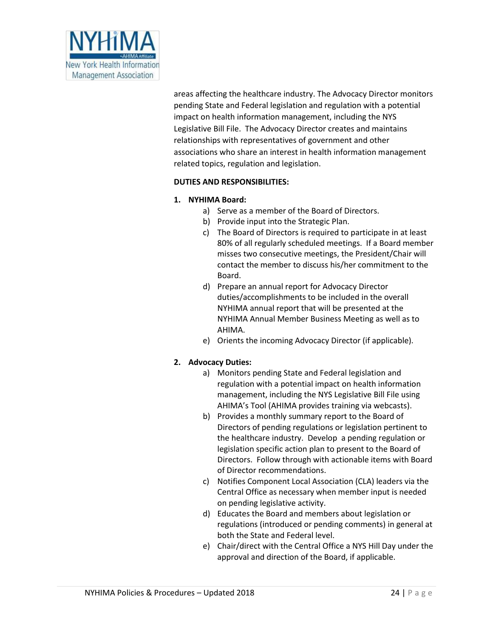

areas affecting the healthcare industry. The Advocacy Director monitors pending State and Federal legislation and regulation with a potential impact on health information management, including the NYS Legislative Bill File. The Advocacy Director creates and maintains relationships with representatives of government and other associations who share an interest in health information management related topics, regulation and legislation.

## **DUTIES AND RESPONSIBILITIES:**

#### **1. NYHIMA Board:**

- a) Serve as a member of the Board of Directors.
- b) Provide input into the Strategic Plan.
- c) The Board of Directors is required to participate in at least 80% of all regularly scheduled meetings. If a Board member misses two consecutive meetings, the President/Chair will contact the member to discuss his/her commitment to the Board.
- d) Prepare an annual report for Advocacy Director duties/accomplishments to be included in the overall NYHIMA annual report that will be presented at the NYHIMA Annual Member Business Meeting as well as to AHIMA.
- e) Orients the incoming Advocacy Director (if applicable).

#### **2. Advocacy Duties:**

- a) Monitors pending State and Federal legislation and regulation with a potential impact on health information management, including the NYS Legislative Bill File using AHIMA's Tool (AHIMA provides training via webcasts).
- b) Provides a monthly summary report to the Board of Directors of pending regulations or legislation pertinent to the healthcare industry. Develop a pending regulation or legislation specific action plan to present to the Board of Directors. Follow through with actionable items with Board of Director recommendations.
- c) Notifies Component Local Association (CLA) leaders via the Central Office as necessary when member input is needed on pending legislative activity.
- d) Educates the Board and members about legislation or regulations (introduced or pending comments) in general at both the State and Federal level.
- e) Chair/direct with the Central Office a NYS Hill Day under the approval and direction of the Board, if applicable.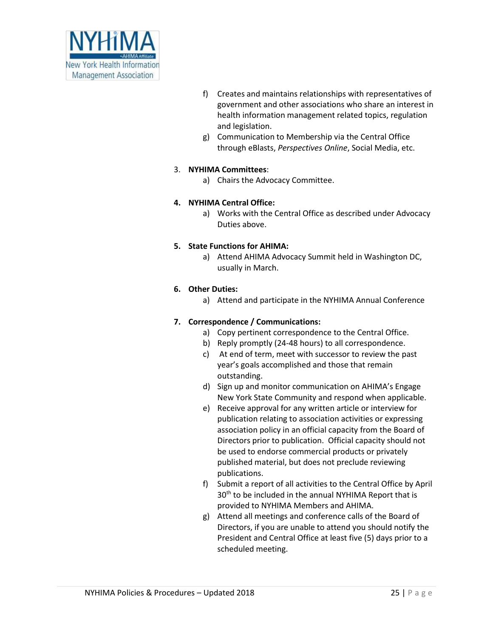

- f) Creates and maintains relationships with representatives of government and other associations who share an interest in health information management related topics, regulation and legislation.
- g) Communication to Membership via the Central Office through eBlasts, *Perspectives Online*, Social Media, etc.

## 3. **NYHIMA Committees**:

a) Chairs the Advocacy Committee.

## **4. NYHIMA Central Office:**

a) Works with the Central Office as described under Advocacy Duties above.

## **5. State Functions for AHIMA:**

a) Attend AHIMA Advocacy Summit held in Washington DC, usually in March.

## **6. Other Duties:**

a) Attend and participate in the NYHIMA Annual Conference

## **7. Correspondence / Communications:**

- a) Copy pertinent correspondence to the Central Office.
- b) Reply promptly (24-48 hours) to all correspondence.
- c) At end of term, meet with successor to review the past year's goals accomplished and those that remain outstanding.
- d) Sign up and monitor communication on AHIMA's Engage New York State Community and respond when applicable.
- e) Receive approval for any written article or interview for publication relating to association activities or expressing association policy in an official capacity from the Board of Directors prior to publication. Official capacity should not be used to endorse commercial products or privately published material, but does not preclude reviewing publications.
- f) Submit a report of all activities to the Central Office by April  $30<sup>th</sup>$  to be included in the annual NYHIMA Report that is provided to NYHIMA Members and AHIMA.
- g) Attend all meetings and conference calls of the Board of Directors, if you are unable to attend you should notify the President and Central Office at least five (5) days prior to a scheduled meeting.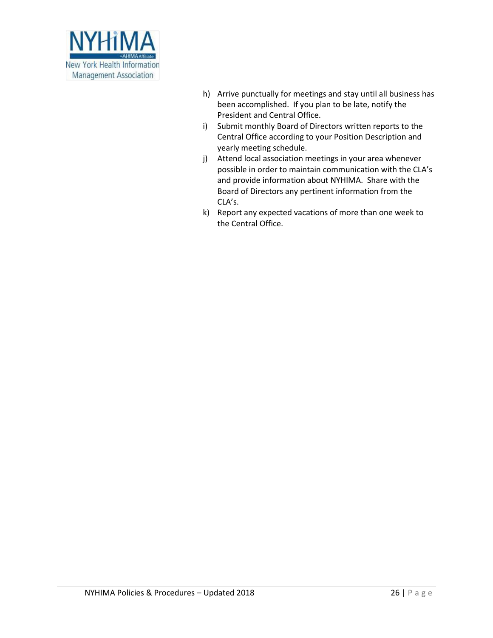

- h) Arrive punctually for meetings and stay until all business has been accomplished. If you plan to be late, notify the President and Central Office.
- i) Submit monthly Board of Directors written reports to the Central Office according to your Position Description and yearly meeting schedule.
- j) Attend local association meetings in your area whenever possible in order to maintain communication with the CLA's and provide information about NYHIMA. Share with the Board of Directors any pertinent information from the CLA's.
- k) Report any expected vacations of more than one week to the Central Office.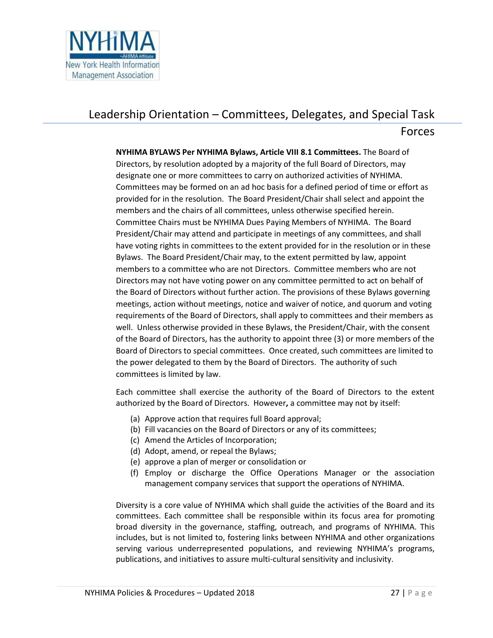

# Leadership Orientation – Committees, Delegates, and Special Task

## Forces

**NYHIMA BYLAWS Per NYHIMA Bylaws, Article VIII 8.1 Committees.** The Board of Directors, by resolution adopted by a majority of the full Board of Directors, may designate one or more committees to carry on authorized activities of NYHIMA. Committees may be formed on an ad hoc basis for a defined period of time or effort as provided for in the resolution. The Board President/Chair shall select and appoint the members and the chairs of all committees, unless otherwise specified herein. Committee Chairs must be NYHIMA Dues Paying Members of NYHIMA. The Board President/Chair may attend and participate in meetings of any committees, and shall have voting rights in committees to the extent provided for in the resolution or in these Bylaws. The Board President/Chair may, to the extent permitted by law, appoint members to a committee who are not Directors. Committee members who are not Directors may not have voting power on any committee permitted to act on behalf of the Board of Directors without further action. The provisions of these Bylaws governing meetings, action without meetings, notice and waiver of notice, and quorum and voting requirements of the Board of Directors, shall apply to committees and their members as well. Unless otherwise provided in these Bylaws, the President/Chair, with the consent of the Board of Directors, has the authority to appoint three (3) or more members of the Board of Directors to special committees. Once created, such committees are limited to the power delegated to them by the Board of Directors. The authority of such committees is limited by law.

Each committee shall exercise the authority of the Board of Directors to the extent authorized by the Board of Directors. However**,** a committee may not by itself:

- (a) Approve action that requires full Board approval;
- (b) Fill vacancies on the Board of Directors or any of its committees;
- (c) Amend the Articles of Incorporation;
- (d) Adopt, amend, or repeal the Bylaws;
- (e) approve a plan of merger or consolidation or
- (f) Employ or discharge the Office Operations Manager or the association management company services that support the operations of NYHIMA.

Diversity is a core value of NYHIMA which shall guide the activities of the Board and its committees. Each committee shall be responsible within its focus area for promoting broad diversity in the governance, staffing, outreach, and programs of NYHIMA. This includes, but is not limited to, fostering links between NYHIMA and other organizations serving various underrepresented populations, and reviewing NYHIMA's programs, publications, and initiatives to assure multi-cultural sensitivity and inclusivity.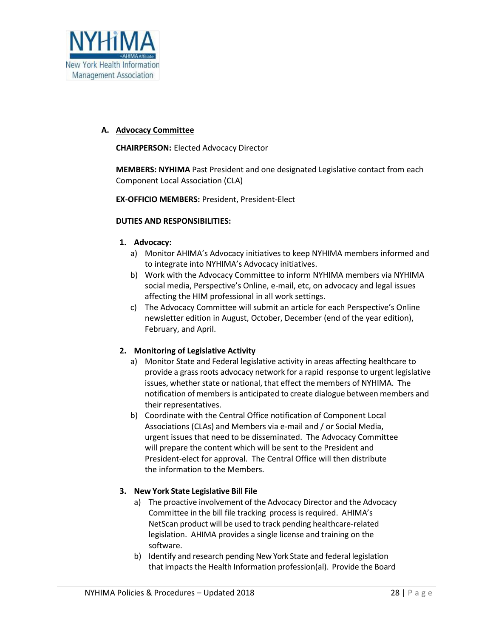

#### **A. Advocacy Committee**

**CHAIRPERSON:** Elected Advocacy Director

**MEMBERS: NYHIMA** Past President and one designated Legislative contact from each Component Local Association (CLA)

**EX-OFFICIO MEMBERS:** President, President-Elect

#### **DUTIES AND RESPONSIBILITIES:**

#### **1. Advocacy:**

- a) Monitor AHIMA's Advocacy initiatives to keep NYHIMA members informed and to integrate into NYHIMA's Advocacy initiatives.
- b) Work with the Advocacy Committee to inform NYHIMA members via NYHIMA social media, Perspective's Online, e-mail, etc, on advocacy and legal issues affecting the HIM professional in all work settings.
- c) The Advocacy Committee will submit an article for each Perspective's Online newsletter edition in August, October, December (end of the year edition), February, and April.

#### **2. Monitoring of Legislative Activity**

- a) Monitor State and Federal legislative activity in areas affecting healthcare to provide a grass roots advocacy network for a rapid response to urgent legislative issues, whether state or national, that effect the members of NYHIMA. The notification of members is anticipated to create dialogue between members and their representatives.
- b) Coordinate with the Central Office notification of Component Local Associations (CLAs) and Members via e-mail and / or Social Media, urgent issues that need to be disseminated. The Advocacy Committee will prepare the content which will be sent to the President and President-elect for approval. The Central Office will then distribute the information to the Members.

#### **3. New York State Legislative Bill File**

- a) The proactive involvement of the Advocacy Director and the Advocacy Committee in the bill file tracking process is required. AHIMA's NetScan product will be used to track pending healthcare-related legislation. AHIMA provides a single license and training on the software.
- b) Identify and research pending New York State and federal legislation that impacts the Health Information profession(al). Provide the Board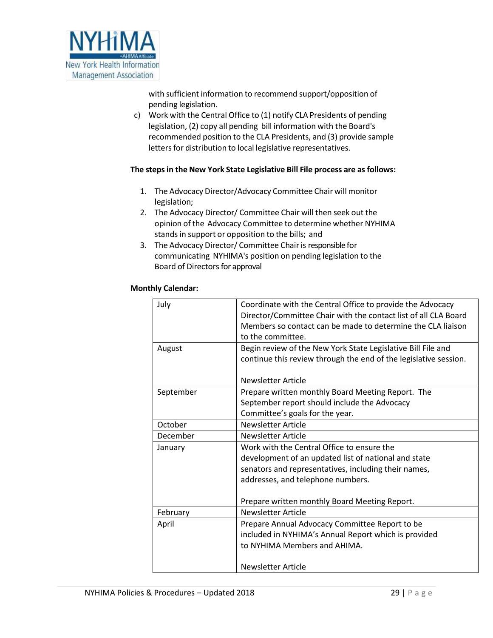

with sufficient information to recommend support/opposition of pending legislation.

c) Work with the Central Office to (1) notify CLA Presidents of pending legislation, (2) copy all pending bill information with the Board's recommended position to the CLA Presidents, and (3) provide sample letters for distribution to local legislative representatives.

## **The stepsin the New York State Legislative Bill File process are asfollows:**

- 1. The Advocacy Director/Advocacy Committee Chair will monitor legislation;
- 2. The Advocacy Director/ Committee Chair will then seek out the opinion of the Advocacy Committee to determine whether NYHIMA stands in support or opposition to the bills; and
- 3. The Advocacy Director/ Committee Chair is responsible for communicating NYHIMA's position on pending legislation to the Board of Directors for approval

## **Monthly Calendar:**

| July      | Coordinate with the Central Office to provide the Advocacy<br>Director/Committee Chair with the contact list of all CLA Board<br>Members so contact can be made to determine the CLA liaison<br>to the committee.                                |
|-----------|--------------------------------------------------------------------------------------------------------------------------------------------------------------------------------------------------------------------------------------------------|
| August    | Begin review of the New York State Legislative Bill File and<br>continue this review through the end of the legislative session.<br>Newsletter Article                                                                                           |
| September | Prepare written monthly Board Meeting Report. The<br>September report should include the Advocacy<br>Committee's goals for the year.                                                                                                             |
| October   | Newsletter Article                                                                                                                                                                                                                               |
| December  | Newsletter Article                                                                                                                                                                                                                               |
| January   | Work with the Central Office to ensure the<br>development of an updated list of national and state<br>senators and representatives, including their names,<br>addresses, and telephone numbers.<br>Prepare written monthly Board Meeting Report. |
| February  | Newsletter Article                                                                                                                                                                                                                               |
| April     | Prepare Annual Advocacy Committee Report to be<br>included in NYHIMA's Annual Report which is provided<br>to NYHIMA Members and AHIMA.                                                                                                           |
|           | <b>Newsletter Article</b>                                                                                                                                                                                                                        |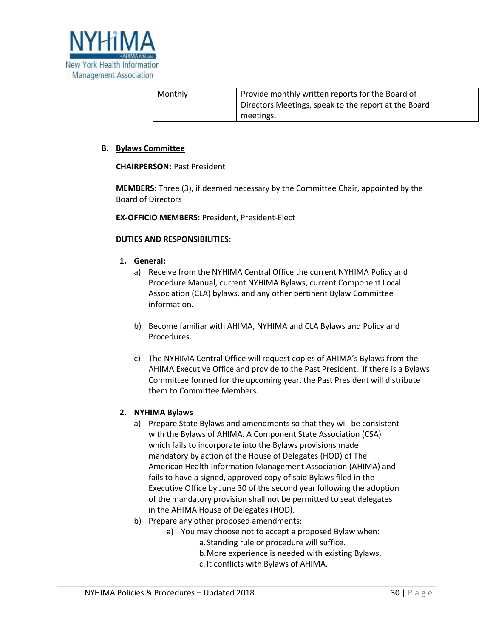

| Monthly | Provide monthly written reports for the Board of     |
|---------|------------------------------------------------------|
|         | Directors Meetings, speak to the report at the Board |
|         | meetings.                                            |

#### **B. Bylaws Committee**

#### **CHAIRPERSON:** Past President

**MEMBERS:** Three (3), if deemed necessary by the Committee Chair, appointed by the Board of Directors

**EX-OFFICIO MEMBERS:** President, President-Elect

#### **DUTIES AND RESPONSIBILITIES:**

- **1. General:** 
	- a) Receive from the NYHIMA Central Office the current NYHIMA Policy and Procedure Manual, current NYHIMA Bylaws, current Component Local Association (CLA) bylaws, and any other pertinent Bylaw Committee information.
	- b) Become familiar with AHIMA, NYHIMA and CLA Bylaws and Policy and Procedures.
	- c) The NYHIMA Central Office will request copies of AHIMA's Bylaws from the AHIMA Executive Office and provide to the Past President. If there is a Bylaws Committee formed for the upcoming year, the Past President will distribute them to Committee Members.

#### **2. NYHIMA Bylaws**

- a) Prepare State Bylaws and amendments so that they will be consistent with the Bylaws of AHIMA. A Component State Association (CSA) which fails to incorporate into the Bylaws provisions made mandatory by action of the House of Delegates (HOD) of The American Health Information Management Association (AHIMA) and fails to have a signed, approved copy of said Bylaws filed in the Executive Office by June 30 of the second year following the adoption of the mandatory provision shall not be permitted to seat delegates in the AHIMA House of Delegates (HOD).
- b) Prepare any other proposed amendments:
	- a) You may choose not to accept a proposed Bylaw when:
		- a.Standing rule or procedure will suffice.
		- b.More experience is needed with existing Bylaws.
		- c. It conflicts with Bylaws of AHIMA.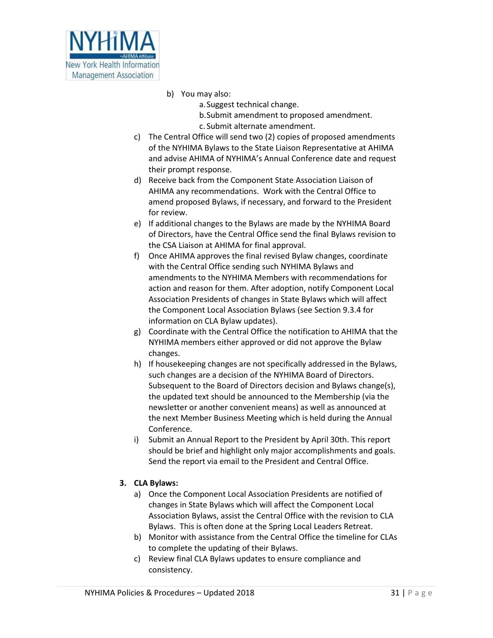

- b) You may also:
	- a.Suggest technical change. b.Submit amendment to proposed amendment. c. Submit alternate amendment.
- c) The Central Office will send two (2) copies of proposed amendments of the NYHIMA Bylaws to the State Liaison Representative at AHIMA and advise AHIMA of NYHIMA's Annual Conference date and request their prompt response.
- d) Receive back from the Component State Association Liaison of AHIMA any recommendations. Work with the Central Office to amend proposed Bylaws, if necessary, and forward to the President for review.
- e) If additional changes to the Bylaws are made by the NYHIMA Board of Directors, have the Central Office send the final Bylaws revision to the CSA Liaison at AHIMA for final approval.
- f) Once AHIMA approves the final revised Bylaw changes, coordinate with the Central Office sending such NYHIMA Bylaws and amendments to the NYHIMA Members with recommendations for action and reason for them. After adoption, notify Component Local Association Presidents of changes in State Bylaws which will affect the Component Local Association Bylaws (see Section 9.3.4 for information on CLA Bylaw updates).
- g) Coordinate with the Central Office the notification to AHIMA that the NYHIMA members either approved or did not approve the Bylaw changes.
- h) If housekeeping changes are not specifically addressed in the Bylaws, such changes are a decision of the NYHIMA Board of Directors. Subsequent to the Board of Directors decision and Bylaws change(s), the updated text should be announced to the Membership (via the newsletter or another convenient means) as well as announced at the next Member Business Meeting which is held during the Annual Conference.
- i) Submit an Annual Report to the President by April 30th. This report should be brief and highlight only major accomplishments and goals. Send the report via email to the President and Central Office.

## **3. CLA Bylaws:**

- a) Once the Component Local Association Presidents are notified of changes in State Bylaws which will affect the Component Local Association Bylaws, assist the Central Office with the revision to CLA Bylaws. This is often done at the Spring Local Leaders Retreat.
- b) Monitor with assistance from the Central Office the timeline for CLAs to complete the updating of their Bylaws.
- c) Review final CLA Bylaws updates to ensure compliance and consistency.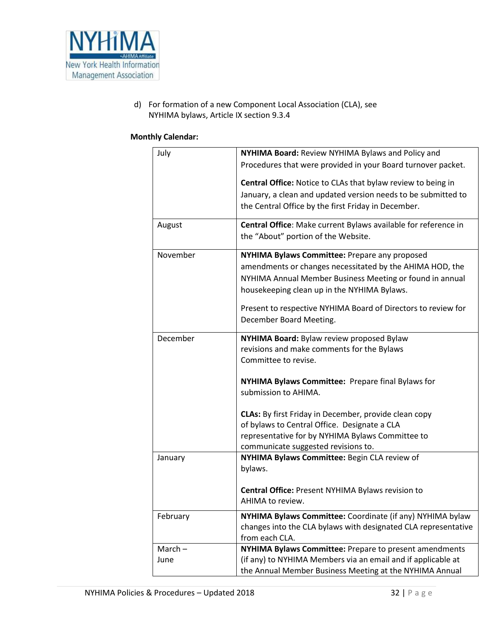

d) For formation of a new Component Local Association (CLA), see NYHIMA bylaws, Article IX section 9.3.4

#### **Monthly Calendar:**

| July      | NYHIMA Board: Review NYHIMA Bylaws and Policy and                                       |
|-----------|-----------------------------------------------------------------------------------------|
|           | Procedures that were provided in your Board turnover packet.                            |
|           | <b>Central Office:</b> Notice to CLAs that bylaw review to being in                     |
|           | January, a clean and updated version needs to be submitted to                           |
|           | the Central Office by the first Friday in December.                                     |
|           |                                                                                         |
| August    | Central Office: Make current Bylaws available for reference in                          |
|           | the "About" portion of the Website.                                                     |
| November  | NYHIMA Bylaws Committee: Prepare any proposed                                           |
|           | amendments or changes necessitated by the AHIMA HOD, the                                |
|           | NYHIMA Annual Member Business Meeting or found in annual                                |
|           | housekeeping clean up in the NYHIMA Bylaws.                                             |
|           | Present to respective NYHIMA Board of Directors to review for                           |
|           | December Board Meeting.                                                                 |
|           |                                                                                         |
| December  | NYHIMA Board: Bylaw review proposed Bylaw                                               |
|           | revisions and make comments for the Bylaws                                              |
|           | Committee to revise.                                                                    |
|           | NYHIMA Bylaws Committee: Prepare final Bylaws for                                       |
|           | submission to AHIMA.                                                                    |
|           |                                                                                         |
|           | <b>CLAs:</b> By first Friday in December, provide clean copy                            |
|           | of bylaws to Central Office. Designate a CLA                                            |
|           | representative for by NYHIMA Bylaws Committee to<br>communicate suggested revisions to. |
| January   | NYHIMA Bylaws Committee: Begin CLA review of                                            |
|           | bylaws.                                                                                 |
|           |                                                                                         |
|           | Central Office: Present NYHIMA Bylaws revision to                                       |
|           | AHIMA to review.                                                                        |
| February  | NYHIMA Bylaws Committee: Coordinate (if any) NYHIMA bylaw                               |
|           | changes into the CLA bylaws with designated CLA representative                          |
|           | from each CLA.                                                                          |
| $March -$ | NYHIMA Bylaws Committee: Prepare to present amendments                                  |
| June      | (if any) to NYHIMA Members via an email and if applicable at                            |
|           | the Annual Member Business Meeting at the NYHIMA Annual                                 |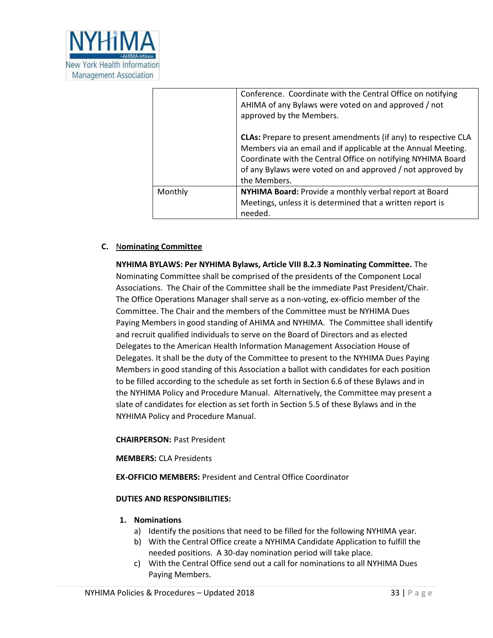

|         | Conference. Coordinate with the Central Office on notifying<br>AHIMA of any Bylaws were voted on and approved / not<br>approved by the Members.                                                                                                                                      |
|---------|--------------------------------------------------------------------------------------------------------------------------------------------------------------------------------------------------------------------------------------------------------------------------------------|
|         | <b>CLAs:</b> Prepare to present amendments (if any) to respective CLA<br>Members via an email and if applicable at the Annual Meeting.<br>Coordinate with the Central Office on notifying NYHIMA Board<br>of any Bylaws were voted on and approved / not approved by<br>the Members. |
| Monthly | NYHIMA Board: Provide a monthly verbal report at Board<br>Meetings, unless it is determined that a written report is<br>needed.                                                                                                                                                      |

## **C.** N**ominating Committee**

**NYHIMA BYLAWS: Per NYHIMA Bylaws, Article VIII 8.2.3 Nominating Committee.** The Nominating Committee shall be comprised of the presidents of the Component Local Associations. The Chair of the Committee shall be the immediate Past President/Chair. The Office Operations Manager shall serve as a non-voting, ex-officio member of the Committee. The Chair and the members of the Committee must be NYHIMA Dues Paying Members in good standing of AHIMA and NYHIMA. The Committee shall identify and recruit qualified individuals to serve on the Board of Directors and as elected Delegates to the American Health Information Management Association House of Delegates. It shall be the duty of the Committee to present to the NYHIMA Dues Paying Members in good standing of this Association a ballot with candidates for each position to be filled according to the schedule as set forth in Section 6.6 of these Bylaws and in the NYHIMA Policy and Procedure Manual. Alternatively, the Committee may present a slate of candidates for election as set forth in Section 5.5 of these Bylaws and in the NYHIMA Policy and Procedure Manual.

#### **CHAIRPERSON:** Past President

**MEMBERS:** CLA Presidents

**EX-OFFICIO MEMBERS:** President and Central Office Coordinator

#### **DUTIES AND RESPONSIBILITIES:**

#### **1. Nominations**

- a) Identify the positions that need to be filled for the following NYHIMA year.
- b) With the Central Office create a NYHIMA Candidate Application to fulfill the needed positions. A 30-day nomination period will take place.
- c) With the Central Office send out a call for nominations to all NYHIMA Dues Paying Members.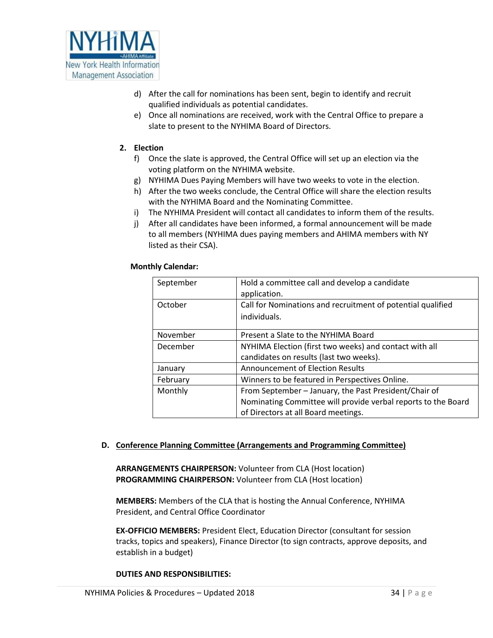

- d) After the call for nominations has been sent, begin to identify and recruit qualified individuals as potential candidates.
- e) Once all nominations are received, work with the Central Office to prepare a slate to present to the NYHIMA Board of Directors.

#### **2. Election**

- f) Once the slate is approved, the Central Office will set up an election via the voting platform on the NYHIMA website.
- g) NYHIMA Dues Paying Members will have two weeks to vote in the election.
- h) After the two weeks conclude, the Central Office will share the election results with the NYHIMA Board and the Nominating Committee.
- i) The NYHIMA President will contact all candidates to inform them of the results.
- j) After all candidates have been informed, a formal announcement will be made to all members (NYHIMA dues paying members and AHIMA members with NY listed as their CSA).

#### **Monthly Calendar:**

| September | Hold a committee call and develop a candidate<br>application.               |
|-----------|-----------------------------------------------------------------------------|
| October   | Call for Nominations and recruitment of potential qualified<br>individuals. |
|           |                                                                             |
| November  | Present a Slate to the NYHIMA Board                                         |
| December  | NYHIMA Election (first two weeks) and contact with all                      |
|           | candidates on results (last two weeks).                                     |
| January   | <b>Announcement of Election Results</b>                                     |
| February  | Winners to be featured in Perspectives Online.                              |
| Monthly   | From September - January, the Past President/Chair of                       |
|           | Nominating Committee will provide verbal reports to the Board               |
|           | of Directors at all Board meetings.                                         |

#### **D. Conference Planning Committee (Arrangements and Programming Committee)**

**ARRANGEMENTS CHAIRPERSON:** Volunteer from CLA (Host location) **PROGRAMMING CHAIRPERSON:** Volunteer from CLA (Host location)

**MEMBERS:** Members of the CLA that is hosting the Annual Conference, NYHIMA President, and Central Office Coordinator

**EX-OFFICIO MEMBERS:** President Elect, Education Director (consultant for session tracks, topics and speakers), Finance Director (to sign contracts, approve deposits, and establish in a budget)

#### **DUTIES AND RESPONSIBILITIES:**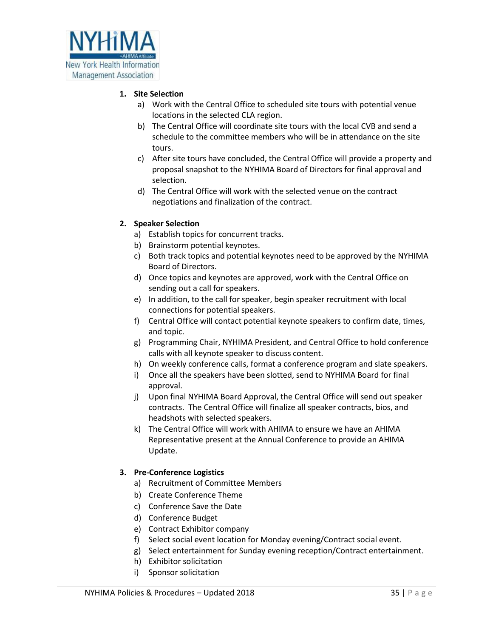

## **1. Site Selection**

- a) Work with the Central Office to scheduled site tours with potential venue locations in the selected CLA region.
- b) The Central Office will coordinate site tours with the local CVB and send a schedule to the committee members who will be in attendance on the site tours.
- c) After site tours have concluded, the Central Office will provide a property and proposal snapshot to the NYHIMA Board of Directors for final approval and selection.
- d) The Central Office will work with the selected venue on the contract negotiations and finalization of the contract.

## **2. Speaker Selection**

- a) Establish topics for concurrent tracks.
- b) Brainstorm potential keynotes.
- c) Both track topics and potential keynotes need to be approved by the NYHIMA Board of Directors.
- d) Once topics and keynotes are approved, work with the Central Office on sending out a call for speakers.
- e) In addition, to the call for speaker, begin speaker recruitment with local connections for potential speakers.
- f) Central Office will contact potential keynote speakers to confirm date, times, and topic.
- g) Programming Chair, NYHIMA President, and Central Office to hold conference calls with all keynote speaker to discuss content.
- h) On weekly conference calls, format a conference program and slate speakers.
- i) Once all the speakers have been slotted, send to NYHIMA Board for final approval.
- j) Upon final NYHIMA Board Approval, the Central Office will send out speaker contracts. The Central Office will finalize all speaker contracts, bios, and headshots with selected speakers.
- k) The Central Office will work with AHIMA to ensure we have an AHIMA Representative present at the Annual Conference to provide an AHIMA Update.

## **3. Pre-Conference Logistics**

- a) Recruitment of Committee Members
- b) Create Conference Theme
- c) Conference Save the Date
- d) Conference Budget
- e) Contract Exhibitor company
- f) Select social event location for Monday evening/Contract social event.
- g) Select entertainment for Sunday evening reception/Contract entertainment.
- h) Exhibitor solicitation
- i) Sponsor solicitation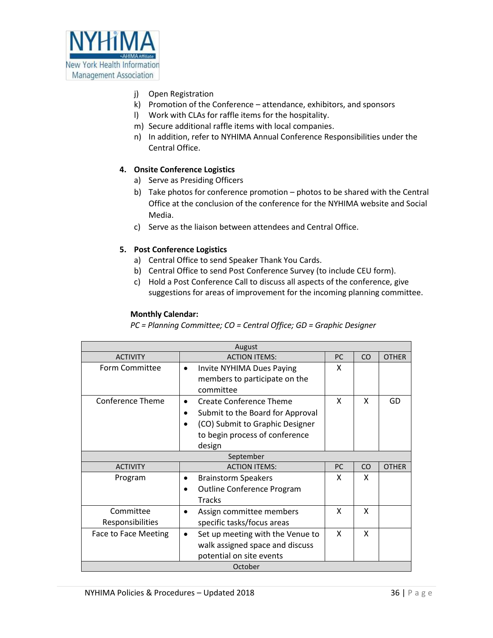

- j) Open Registration
- k) Promotion of the Conference attendance, exhibitors, and sponsors
- l) Work with CLAs for raffle items for the hospitality.
- m) Secure additional raffle items with local companies.
- n) In addition, refer to NYHIMA Annual Conference Responsibilities under the Central Office.

## **4. Onsite Conference Logistics**

- a) Serve as Presiding Officers
- b) Take photos for conference promotion photos to be shared with the Central Office at the conclusion of the conference for the NYHIMA website and Social Media.
- c) Serve as the liaison between attendees and Central Office.

## **5. Post Conference Logistics**

- a) Central Office to send Speaker Thank You Cards.
- b) Central Office to send Post Conference Survey (to include CEU form).
- c) Hold a Post Conference Call to discuss all aspects of the conference, give suggestions for areas of improvement for the incoming planning committee.

#### **Monthly Calendar:**

*PC = Planning Committee; CO = Central Office; GD = Graphic Designer*

| August                      |                                                |    |    |              |
|-----------------------------|------------------------------------------------|----|----|--------------|
| <b>ACTIVITY</b>             | <b>ACTION ITEMS:</b>                           | PC | CO | <b>OTHER</b> |
| Form Committee              | Invite NYHIMA Dues Paying<br>$\bullet$         | x  |    |              |
|                             | members to participate on the                  |    |    |              |
|                             | committee                                      |    |    |              |
| <b>Conference Theme</b>     | <b>Create Conference Theme</b><br>$\bullet$    | x  | X  | GD           |
|                             | Submit to the Board for Approval<br>٠          |    |    |              |
|                             | (CO) Submit to Graphic Designer<br>$\bullet$   |    |    |              |
|                             | to begin process of conference                 |    |    |              |
|                             | design                                         |    |    |              |
|                             | September                                      |    |    |              |
| <b>ACTIVITY</b>             | <b>ACTION ITEMS:</b>                           | PC | CO | <b>OTHER</b> |
| Program                     | <b>Brainstorm Speakers</b><br>٠                | X  | X  |              |
|                             | <b>Outline Conference Program</b><br>$\bullet$ |    |    |              |
|                             | <b>Tracks</b>                                  |    |    |              |
| Committee                   | Assign committee members<br>$\bullet$          | x  | x  |              |
| Responsibilities            | specific tasks/focus areas                     |    |    |              |
| <b>Face to Face Meeting</b> | Set up meeting with the Venue to<br>$\bullet$  | X  | X  |              |
|                             | walk assigned space and discuss                |    |    |              |
|                             | potential on site events                       |    |    |              |
| October                     |                                                |    |    |              |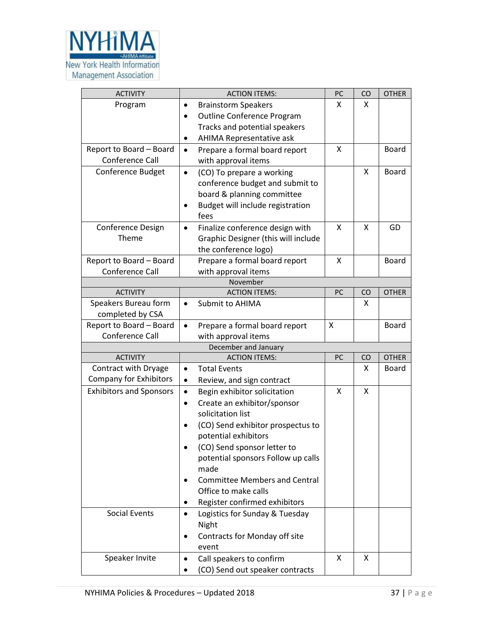

| <b>ACTIVITY</b>                          | <b>ACTION ITEMS:</b>                                                                                                                                | PC | CO | <b>OTHER</b> |
|------------------------------------------|-----------------------------------------------------------------------------------------------------------------------------------------------------|----|----|--------------|
| Program                                  | <b>Brainstorm Speakers</b><br>$\bullet$                                                                                                             | X  | x  |              |
|                                          | <b>Outline Conference Program</b><br>$\bullet$                                                                                                      |    |    |              |
|                                          | Tracks and potential speakers                                                                                                                       |    |    |              |
|                                          | <b>AHIMA Representative ask</b><br>$\bullet$                                                                                                        |    |    |              |
| Report to Board - Board                  | Prepare a formal board report<br>$\bullet$                                                                                                          | X  |    | <b>Board</b> |
| Conference Call                          | with approval items                                                                                                                                 |    |    |              |
| Conference Budget                        | (CO) To prepare a working<br>$\bullet$<br>conference budget and submit to<br>board & planning committee<br>Budget will include registration<br>fees |    | X  | <b>Board</b> |
| <b>Conference Design</b><br>Theme        | Finalize conference design with<br>$\bullet$<br>Graphic Designer (this will include<br>the conference logo)                                         | X  | X  | GD           |
| Report to Board - Board                  | Prepare a formal board report                                                                                                                       | X  |    | <b>Board</b> |
| Conference Call                          | with approval items                                                                                                                                 |    |    |              |
|                                          | November                                                                                                                                            |    |    |              |
| <b>ACTIVITY</b>                          | <b>ACTION ITEMS:</b>                                                                                                                                | PC | CO | <b>OTHER</b> |
| Speakers Bureau form<br>completed by CSA | Submit to AHIMA<br>$\bullet$                                                                                                                        |    | X  |              |
| Report to Board - Board                  | Prepare a formal board report<br>$\bullet$                                                                                                          | X  |    | Board        |
| Conference Call                          | with approval items                                                                                                                                 |    |    |              |
|                                          | December and January                                                                                                                                |    |    |              |
| <b>ACTIVITY</b>                          | <b>ACTION ITEMS:</b>                                                                                                                                | PC | CO | <b>OTHER</b> |
| Contract with Dryage                     | <b>Total Events</b><br>$\bullet$                                                                                                                    |    | x  | Board        |
| <b>Company for Exhibitors</b>            | Review, and sign contract<br>$\bullet$                                                                                                              |    |    |              |
| <b>Exhibitors and Sponsors</b>           | Begin exhibitor solicitation<br>$\bullet$                                                                                                           | X  | X  |              |
|                                          | Create an exhibitor/sponsor<br>$\bullet$<br>solicitation list                                                                                       |    |    |              |
|                                          | (CO) Send exhibitor prospectus to<br>$\bullet$<br>potential exhibitors                                                                              |    |    |              |
|                                          | (CO) Send sponsor letter to<br>potential sponsors Follow up calls<br>made<br><b>Committee Members and Central</b><br>Office to make calls           |    |    |              |
|                                          | Register confirmed exhibitors<br>٠                                                                                                                  |    |    |              |
| Social Events                            | Logistics for Sunday & Tuesday<br>$\bullet$<br>Night<br>Contracts for Monday off site<br>event                                                      |    |    |              |
| Speaker Invite                           | Call speakers to confirm<br>(CO) Send out speaker contracts                                                                                         | X  | X  |              |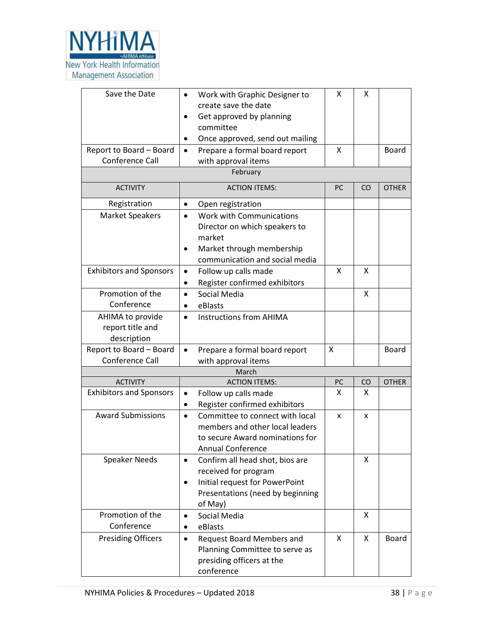

| Save the Date<br>Report to Board - Board<br>Conference Call | Work with Graphic Designer to<br>٠<br>create save the date<br>Get approved by planning<br>committee<br>Once approved, send out mailing<br>$\bullet$<br>Prepare a formal board report<br>$\bullet$<br>with approval items<br>February | X<br>X | X   | Board        |
|-------------------------------------------------------------|--------------------------------------------------------------------------------------------------------------------------------------------------------------------------------------------------------------------------------------|--------|-----|--------------|
| <b>ACTIVITY</b>                                             | <b>ACTION ITEMS:</b>                                                                                                                                                                                                                 | PC     | CO. | <b>OTHER</b> |
| Registration                                                | Open registration<br>$\bullet$                                                                                                                                                                                                       |        |     |              |
| <b>Market Speakers</b>                                      | Work with Communications<br>$\bullet$<br>Director on which speakers to<br>market<br>Market through membership<br>٠<br>communication and social media                                                                                 |        |     |              |
| <b>Exhibitors and Sponsors</b>                              | Follow up calls made<br>$\bullet$<br>Register confirmed exhibitors<br>$\bullet$                                                                                                                                                      | X      | X   |              |
| Promotion of the<br>Conference                              | Social Media<br>$\bullet$<br>eBlasts                                                                                                                                                                                                 |        | X   |              |
| AHIMA to provide<br>report title and<br>description         | <b>Instructions from AHIMA</b><br>$\bullet$                                                                                                                                                                                          |        |     |              |
| Report to Board - Board                                     | Prepare a formal board report<br>$\bullet$                                                                                                                                                                                           | X      |     | Board        |
| Conference Call                                             | with approval items                                                                                                                                                                                                                  |        |     |              |
|                                                             | March                                                                                                                                                                                                                                |        |     |              |
| <b>ACTIVITY</b>                                             | <b>ACTION ITEMS:</b>                                                                                                                                                                                                                 | PC     | CO  | <b>OTHER</b> |
| <b>Exhibitors and Sponsors</b>                              | Follow up calls made<br>$\bullet$<br>Register confirmed exhibitors                                                                                                                                                                   | x      | x   |              |
| <b>Award Submissions</b>                                    | Committee to connect with local<br>$\bullet$<br>members and other local leaders<br>to secure Award nominations for<br>Annual Conference                                                                                              | x      | x   |              |
| <b>Speaker Needs</b>                                        | Confirm all head shot, bios are<br>received for program<br>Initial request for PowerPoint<br>$\bullet$<br>Presentations (need by beginning<br>of May)                                                                                |        | X   |              |
| Promotion of the<br>Conference                              | Social Media<br>$\bullet$<br>eBlasts                                                                                                                                                                                                 |        | X   |              |
| <b>Presiding Officers</b>                                   | Request Board Members and<br>$\bullet$<br>Planning Committee to serve as<br>presiding officers at the<br>conference                                                                                                                  | X      | X   | Board        |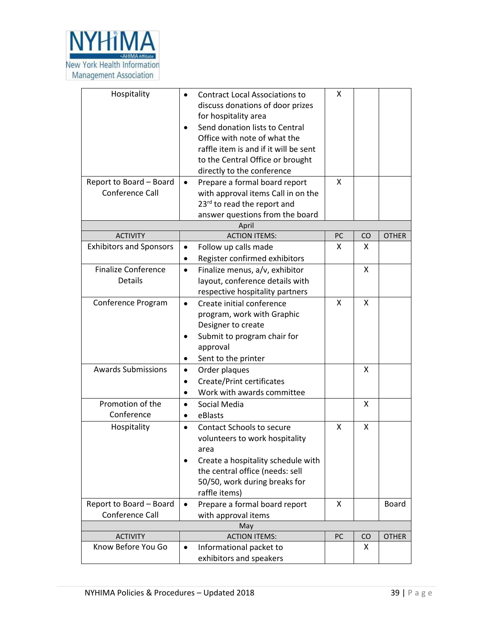

| Hospitality<br>Report to Board - Board<br>Conference Call | <b>Contract Local Associations to</b><br>$\bullet$<br>discuss donations of door prizes<br>for hospitality area<br>Send donation lists to Central<br>Office with note of what the<br>raffle item is and if it will be sent<br>to the Central Office or brought<br>directly to the conference<br>Prepare a formal board report<br>$\bullet$<br>with approval items Call in on the<br>23rd to read the report and<br>answer questions from the board | X<br>X |         |              |  |
|-----------------------------------------------------------|---------------------------------------------------------------------------------------------------------------------------------------------------------------------------------------------------------------------------------------------------------------------------------------------------------------------------------------------------------------------------------------------------------------------------------------------------|--------|---------|--------------|--|
|                                                           | April                                                                                                                                                                                                                                                                                                                                                                                                                                             |        |         |              |  |
| <b>ACTIVITY</b>                                           | <b>ACTION ITEMS:</b>                                                                                                                                                                                                                                                                                                                                                                                                                              | PC     | CO      | <b>OTHER</b> |  |
| <b>Exhibitors and Sponsors</b>                            | Follow up calls made<br>$\bullet$                                                                                                                                                                                                                                                                                                                                                                                                                 | x      | X       |              |  |
|                                                           | Register confirmed exhibitors<br>$\bullet$                                                                                                                                                                                                                                                                                                                                                                                                        |        |         |              |  |
| <b>Finalize Conference</b><br>Details                     | Finalize menus, a/v, exhibitor<br>$\bullet$                                                                                                                                                                                                                                                                                                                                                                                                       |        | X       |              |  |
|                                                           | layout, conference details with<br>respective hospitality partners                                                                                                                                                                                                                                                                                                                                                                                |        |         |              |  |
| Conference Program                                        | Create initial conference<br>$\bullet$                                                                                                                                                                                                                                                                                                                                                                                                            | X      | X       |              |  |
|                                                           | program, work with Graphic                                                                                                                                                                                                                                                                                                                                                                                                                        |        |         |              |  |
|                                                           | Designer to create                                                                                                                                                                                                                                                                                                                                                                                                                                |        |         |              |  |
|                                                           | Submit to program chair for<br>$\bullet$                                                                                                                                                                                                                                                                                                                                                                                                          |        |         |              |  |
|                                                           | approval                                                                                                                                                                                                                                                                                                                                                                                                                                          |        |         |              |  |
|                                                           | Sent to the printer                                                                                                                                                                                                                                                                                                                                                                                                                               |        |         |              |  |
| <b>Awards Submissions</b>                                 | Order plaques<br>$\bullet$                                                                                                                                                                                                                                                                                                                                                                                                                        |        | X       |              |  |
|                                                           | Create/Print certificates<br>$\bullet$                                                                                                                                                                                                                                                                                                                                                                                                            |        |         |              |  |
|                                                           | Work with awards committee                                                                                                                                                                                                                                                                                                                                                                                                                        |        |         |              |  |
| Promotion of the                                          | Social Media<br>$\bullet$                                                                                                                                                                                                                                                                                                                                                                                                                         |        | Χ       |              |  |
| Conference                                                | eBlasts<br>$\bullet$                                                                                                                                                                                                                                                                                                                                                                                                                              |        |         |              |  |
| Hospitality                                               | <b>Contact Schools to secure</b><br>$\bullet$                                                                                                                                                                                                                                                                                                                                                                                                     | X      | X       |              |  |
|                                                           | volunteers to work hospitality                                                                                                                                                                                                                                                                                                                                                                                                                    |        |         |              |  |
|                                                           | area                                                                                                                                                                                                                                                                                                                                                                                                                                              |        |         |              |  |
|                                                           | Create a hospitality schedule with                                                                                                                                                                                                                                                                                                                                                                                                                |        |         |              |  |
|                                                           | the central office (needs: sell                                                                                                                                                                                                                                                                                                                                                                                                                   |        |         |              |  |
|                                                           | 50/50, work during breaks for                                                                                                                                                                                                                                                                                                                                                                                                                     |        |         |              |  |
|                                                           | raffle items)                                                                                                                                                                                                                                                                                                                                                                                                                                     |        |         |              |  |
| Report to Board - Board                                   | Prepare a formal board report<br>$\bullet$                                                                                                                                                                                                                                                                                                                                                                                                        | X      |         | Board        |  |
| Conference Call                                           | with approval items                                                                                                                                                                                                                                                                                                                                                                                                                               |        |         |              |  |
| <b>ACTIVITY</b>                                           | May                                                                                                                                                                                                                                                                                                                                                                                                                                               |        |         |              |  |
| Know Before You Go                                        | <b>ACTION ITEMS:</b><br>Informational packet to<br>$\bullet$                                                                                                                                                                                                                                                                                                                                                                                      | PC     | CO<br>x | <b>OTHER</b> |  |
|                                                           | exhibitors and speakers                                                                                                                                                                                                                                                                                                                                                                                                                           |        |         |              |  |
|                                                           |                                                                                                                                                                                                                                                                                                                                                                                                                                                   |        |         |              |  |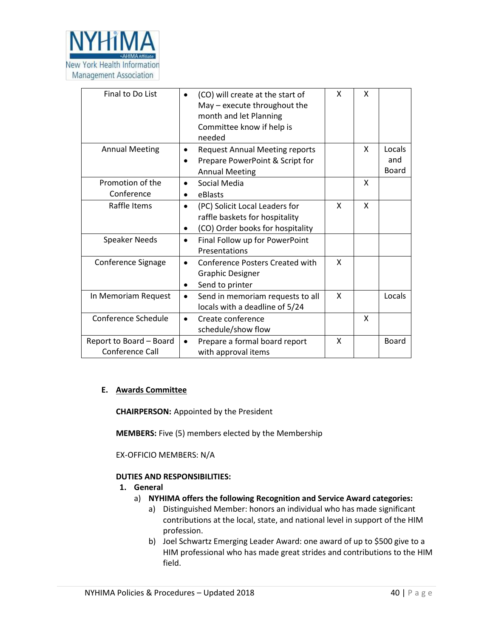

| Final to Do List                           | (CO) will create at the start of<br>$\bullet$<br>May - execute throughout the<br>month and let Planning<br>Committee know if help is<br>needed | x | x |                        |
|--------------------------------------------|------------------------------------------------------------------------------------------------------------------------------------------------|---|---|------------------------|
| <b>Annual Meeting</b>                      | <b>Request Annual Meeting reports</b><br>$\bullet$<br>Prepare PowerPoint & Script for<br><b>Annual Meeting</b>                                 |   | X | Locals<br>and<br>Board |
| Promotion of the<br>Conference             | Social Media<br>$\bullet$<br>eBlasts<br>$\bullet$                                                                                              |   | X |                        |
| Raffle Items                               | (PC) Solicit Local Leaders for<br>$\bullet$<br>raffle baskets for hospitality<br>(CO) Order books for hospitality<br>$\bullet$                 | X | X |                        |
| <b>Speaker Needs</b>                       | Final Follow up for PowerPoint<br>Presentations                                                                                                |   |   |                        |
| Conference Signage                         | <b>Conference Posters Created with</b><br>$\bullet$<br><b>Graphic Designer</b><br>Send to printer<br>$\bullet$                                 | X |   |                        |
| In Memoriam Request                        | Send in memoriam requests to all<br>$\bullet$<br>locals with a deadline of 5/24                                                                | X |   | Locals                 |
| Conference Schedule                        | Create conference<br>$\bullet$<br>schedule/show flow                                                                                           |   | X |                        |
| Report to Board - Board<br>Conference Call | Prepare a formal board report<br>$\bullet$<br>with approval items                                                                              | X |   | <b>Board</b>           |

#### **E. Awards Committee**

**CHAIRPERSON:** Appointed by the President

**MEMBERS:** Five (5) members elected by the Membership

EX-OFFICIO MEMBERS: N/A

#### **DUTIES AND RESPONSIBILITIES:**

- **1. General**
	- a) **NYHIMA offers the following Recognition and Service Award categories:**
		- a) Distinguished Member: honors an individual who has made significant contributions at the local, state, and national level in support of the HIM profession.
		- b) Joel Schwartz Emerging Leader Award: one award of up to \$500 give to a HIM professional who has made great strides and contributions to the HIM field.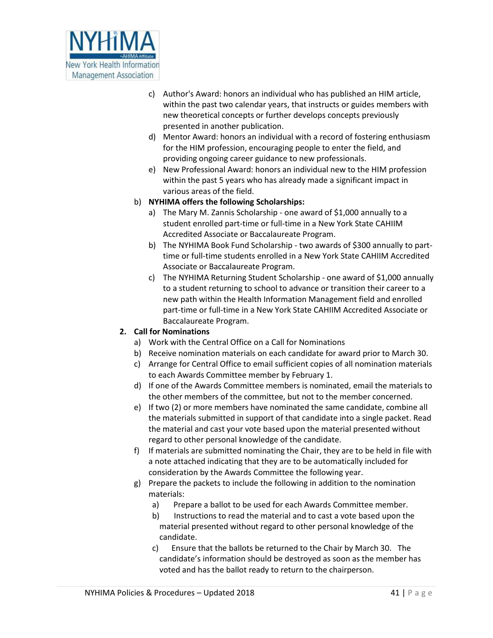

- c) Author's Award: honors an individual who has published an HIM article, within the past two calendar years, that instructs or guides members with new theoretical concepts or further develops concepts previously presented in another publication.
- d) Mentor Award: honors an individual with a record of fostering enthusiasm for the HIM profession, encouraging people to enter the field, and providing ongoing career guidance to new professionals.
- e) New Professional Award: honors an individual new to the HIM profession within the past 5 years who has already made a significant impact in various areas of the field.
- b) **NYHIMA offers the following Scholarships:** 
	- a) The Mary M. Zannis Scholarship one award of \$1,000 annually to a student enrolled part-time or full-time in a New York State CAHIIM Accredited Associate or Baccalaureate Program.
	- b) The NYHIMA Book Fund Scholarship two awards of \$300 annually to parttime or full-time students enrolled in a New York State CAHIIM Accredited Associate or Baccalaureate Program.
	- c) The NYHIMA Returning Student Scholarship one award of \$1,000 annually to a student returning to school to advance or transition their career to a new path within the Health Information Management field and enrolled part-time or full-time in a New York State CAHIIM Accredited Associate or Baccalaureate Program.

## **2. Call for Nominations**

- a) Work with the Central Office on a Call for Nominations
- b) Receive nomination materials on each candidate for award prior to March 30.
- c) Arrange for Central Office to email sufficient copies of all nomination materials to each Awards Committee member by February 1.
- d) If one of the Awards Committee members is nominated, email the materials to the other members of the committee, but not to the member concerned.
- e) If two (2) or more members have nominated the same candidate, combine all the materials submitted in support of that candidate into a single packet. Read the material and cast your vote based upon the material presented without regard to other personal knowledge of the candidate.
- f) If materials are submitted nominating the Chair, they are to be held in file with a note attached indicating that they are to be automatically included for consideration by the Awards Committee the following year.
- g) Prepare the packets to include the following in addition to the nomination materials:
	- a) Prepare a ballot to be used for each Awards Committee member.
	- b) Instructions to read the material and to cast a vote based upon the material presented without regard to other personal knowledge of the candidate.
	- c) Ensure that the ballots be returned to the Chair by March 30. The candidate's information should be destroyed as soon as the member has voted and has the ballot ready to return to the chairperson.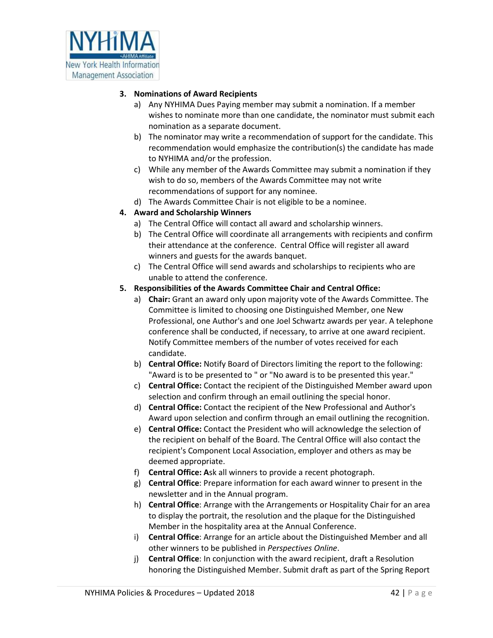

## **3. Nominations of Award Recipients**

- a) Any NYHIMA Dues Paying member may submit a nomination. If a member wishes to nominate more than one candidate, the nominator must submit each nomination as a separate document.
- b) The nominator may write a recommendation of support for the candidate. This recommendation would emphasize the contribution(s) the candidate has made to NYHIMA and/or the profession.
- c) While any member of the Awards Committee may submit a nomination if they wish to do so, members of the Awards Committee may not write recommendations of support for any nominee.
- d) The Awards Committee Chair is not eligible to be a nominee.

## **4. Award and Scholarship Winners**

- a) The Central Office will contact all award and scholarship winners.
- b) The Central Office will coordinate all arrangements with recipients and confirm their attendance at the conference. Central Office will register all award winners and guests for the awards banquet.
- c) The Central Office will send awards and scholarships to recipients who are unable to attend the conference.
- **5. Responsibilities of the Awards Committee Chair and Central Office:** 
	- a) **Chair:** Grant an award only upon majority vote of the Awards Committee. The Committee is limited to choosing one Distinguished Member, one New Professional, one Author's and one Joel Schwartz awards per year. A telephone conference shall be conducted, if necessary, to arrive at one award recipient. Notify Committee members of the number of votes received for each candidate.
	- b) **Central Office:** Notify Board of Directors limiting the report to the following: "Award is to be presented to " or "No award is to be presented this year."
	- c) **Central Office:** Contact the recipient of the Distinguished Member award upon selection and confirm through an email outlining the special honor.
	- d) **Central Office:** Contact the recipient of the New Professional and Author's Award upon selection and confirm through an email outlining the recognition.
	- e) **Central Office:** Contact the President who will acknowledge the selection of the recipient on behalf of the Board. The Central Office will also contact the recipient's Component Local Association, employer and others as may be deemed appropriate.
	- f) **Central Office: A**sk all winners to provide a recent photograph.
	- g) **Central Office**: Prepare information for each award winner to present in the newsletter and in the Annual program.
	- h) **Central Office**: Arrange with the Arrangements or Hospitality Chair for an area to display the portrait, the resolution and the plaque for the Distinguished Member in the hospitality area at the Annual Conference.
	- i) **Central Office**: Arrange for an article about the Distinguished Member and all other winners to be published in *Perspectives Online*.
	- j) **Central Office**: In conjunction with the award recipient, draft a Resolution honoring the Distinguished Member. Submit draft as part of the Spring Report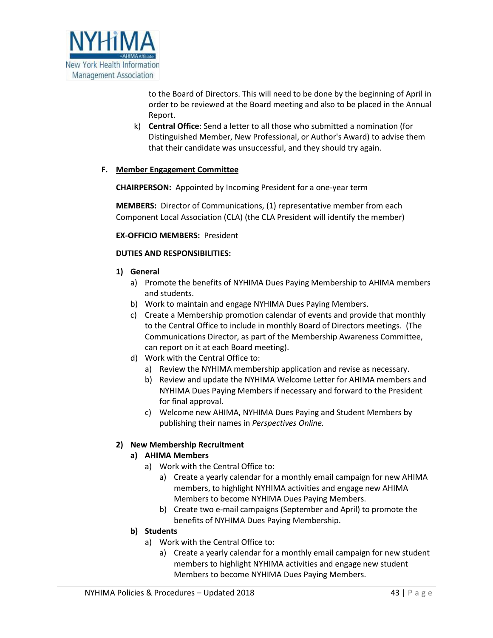

to the Board of Directors. This will need to be done by the beginning of April in order to be reviewed at the Board meeting and also to be placed in the Annual Report.

k) **Central Office**: Send a letter to all those who submitted a nomination (for Distinguished Member, New Professional, or Author's Award) to advise them that their candidate was unsuccessful, and they should try again.

#### **F. Member Engagement Committee**

**CHAIRPERSON:** Appointed by Incoming President for a one-year term

**MEMBERS:** Director of Communications, (1) representative member from each Component Local Association (CLA) (the CLA President will identify the member)

**EX-OFFICIO MEMBERS:** President

#### **DUTIES AND RESPONSIBILITIES:**

- **1) General**
	- a) Promote the benefits of NYHIMA Dues Paying Membership to AHIMA members and students.
	- b) Work to maintain and engage NYHIMA Dues Paying Members.
	- c) Create a Membership promotion calendar of events and provide that monthly to the Central Office to include in monthly Board of Directors meetings. (The Communications Director, as part of the Membership Awareness Committee, can report on it at each Board meeting).
	- d) Work with the Central Office to:
		- a) Review the NYHIMA membership application and revise as necessary.
		- b) Review and update the NYHIMA Welcome Letter for AHIMA members and NYHIMA Dues Paying Members if necessary and forward to the President for final approval.
		- c) Welcome new AHIMA, NYHIMA Dues Paying and Student Members by publishing their names in *Perspectives Online.*

#### **2) New Membership Recruitment**

#### **a) AHIMA Members**

- a) Work with the Central Office to:
	- a) Create a yearly calendar for a monthly email campaign for new AHIMA members, to highlight NYHIMA activities and engage new AHIMA Members to become NYHIMA Dues Paying Members.
	- b) Create two e-mail campaigns (September and April) to promote the benefits of NYHIMA Dues Paying Membership.

#### **b) Students**

- a) Work with the Central Office to:
	- a) Create a yearly calendar for a monthly email campaign for new student members to highlight NYHIMA activities and engage new student Members to become NYHIMA Dues Paying Members.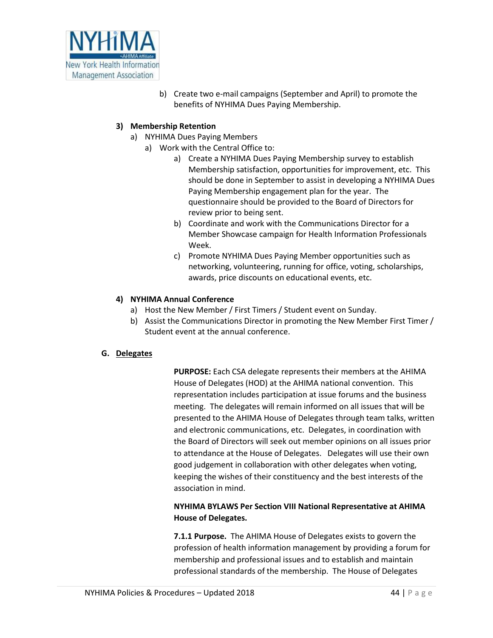

b) Create two e-mail campaigns (September and April) to promote the benefits of NYHIMA Dues Paying Membership.

## **3) Membership Retention**

- a) NYHIMA Dues Paying Members
	- a) Work with the Central Office to:
		- a) Create a NYHIMA Dues Paying Membership survey to establish Membership satisfaction, opportunities for improvement, etc. This should be done in September to assist in developing a NYHIMA Dues Paying Membership engagement plan for the year. The questionnaire should be provided to the Board of Directors for review prior to being sent.
		- b) Coordinate and work with the Communications Director for a Member Showcase campaign for Health Information Professionals Week.
		- c) Promote NYHIMA Dues Paying Member opportunities such as networking, volunteering, running for office, voting, scholarships, awards, price discounts on educational events, etc.

## **4) NYHIMA Annual Conference**

- a) Host the New Member / First Timers / Student event on Sunday.
- b) Assist the Communications Director in promoting the New Member First Timer / Student event at the annual conference.

## **G. Delegates**

**PURPOSE:** Each CSA delegate represents their members at the AHIMA House of Delegates (HOD) at the AHIMA national convention. This representation includes participation at issue forums and the business meeting. The delegates will remain informed on all issues that will be presented to the AHIMA House of Delegates through team talks, written and electronic communications, etc. Delegates, in coordination with the Board of Directors will seek out member opinions on all issues prior to attendance at the House of Delegates. Delegates will use their own good judgement in collaboration with other delegates when voting, keeping the wishes of their constituency and the best interests of the association in mind.

## **NYHIMA BYLAWS Per Section VIII National Representative at AHIMA House of Delegates.**

**7.1.1 Purpose.** The AHIMA House of Delegates exists to govern the profession of health information management by providing a forum for membership and professional issues and to establish and maintain professional standards of the membership. The House of Delegates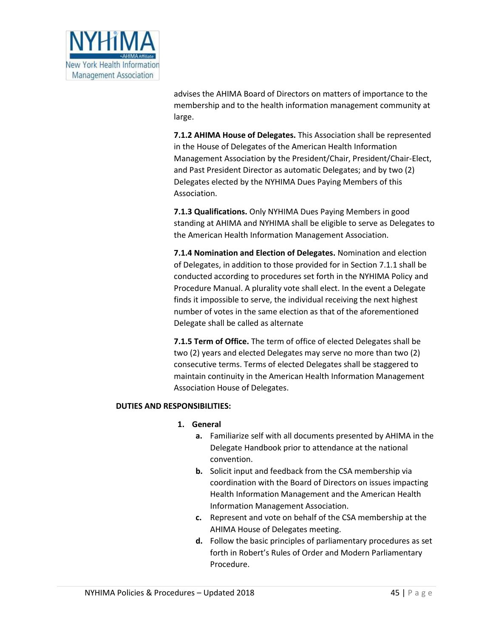

advises the AHIMA Board of Directors on matters of importance to the membership and to the health information management community at large.

**7.1.2 AHIMA House of Delegates.** This Association shall be represented in the House of Delegates of the American Health Information Management Association by the President/Chair, President/Chair-Elect, and Past President Director as automatic Delegates; and by two (2) Delegates elected by the NYHIMA Dues Paying Members of this Association.

**7.1.3 Qualifications.** Only NYHIMA Dues Paying Members in good standing at AHIMA and NYHIMA shall be eligible to serve as Delegates to the American Health Information Management Association.

**7.1.4 Nomination and Election of Delegates.** Nomination and election of Delegates, in addition to those provided for in Section 7.1.1 shall be conducted according to procedures set forth in the NYHIMA Policy and Procedure Manual. A plurality vote shall elect. In the event a Delegate finds it impossible to serve, the individual receiving the next highest number of votes in the same election as that of the aforementioned Delegate shall be called as alternate

**7.1.5 Term of Office.** The term of office of elected Delegates shall be two (2) years and elected Delegates may serve no more than two (2) consecutive terms. Terms of elected Delegates shall be staggered to maintain continuity in the American Health Information Management Association House of Delegates.

#### **DUTIES AND RESPONSIBILITIES:**

#### **1. General**

- **a.** Familiarize self with all documents presented by AHIMA in the Delegate Handbook prior to attendance at the national convention.
- **b.** Solicit input and feedback from the CSA membership via coordination with the Board of Directors on issues impacting Health Information Management and the American Health Information Management Association.
- **c.** Represent and vote on behalf of the CSA membership at the AHIMA House of Delegates meeting.
- **d.** Follow the basic principles of parliamentary procedures as set forth in Robert's Rules of Order and Modern Parliamentary Procedure.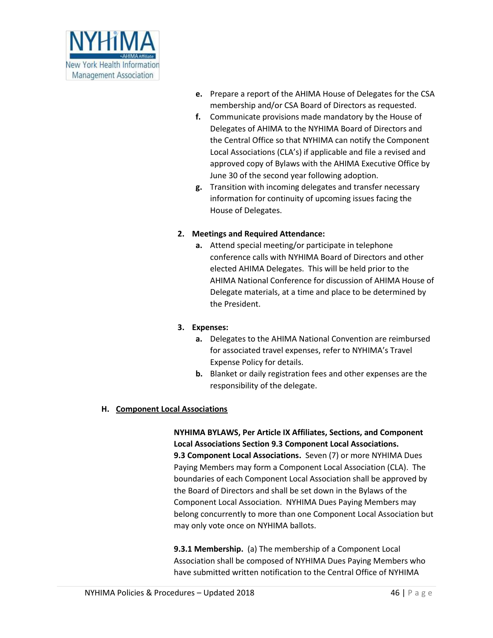

- **e.** Prepare a report of the AHIMA House of Delegates for the CSA membership and/or CSA Board of Directors as requested.
- **f.** Communicate provisions made mandatory by the House of Delegates of AHIMA to the NYHIMA Board of Directors and the Central Office so that NYHIMA can notify the Component Local Associations (CLA's) if applicable and file a revised and approved copy of Bylaws with the AHIMA Executive Office by June 30 of the second year following adoption.
- **g.** Transition with incoming delegates and transfer necessary information for continuity of upcoming issues facing the House of Delegates.

#### **2. Meetings and Required Attendance:**

**a.** Attend special meeting/or participate in telephone conference calls with NYHIMA Board of Directors and other elected AHIMA Delegates. This will be held prior to the AHIMA National Conference for discussion of AHIMA House of Delegate materials, at a time and place to be determined by the President.

## **3. Expenses:**

- **a.** Delegates to the AHIMA National Convention are reimbursed for associated travel expenses, refer to NYHIMA's Travel Expense Policy for details.
- **b.** Blanket or daily registration fees and other expenses are the responsibility of the delegate.

## **H. Component Local Associations**

**NYHIMA BYLAWS, Per Article IX Affiliates, Sections, and Component Local Associations Section 9.3 Component Local Associations. 9.3 Component Local Associations.** Seven (7) or more NYHIMA Dues Paying Members may form a Component Local Association (CLA). The boundaries of each Component Local Association shall be approved by the Board of Directors and shall be set down in the Bylaws of the Component Local Association. NYHIMA Dues Paying Members may belong concurrently to more than one Component Local Association but may only vote once on NYHIMA ballots.

**9.3.1 Membership.** (a) The membership of a Component Local Association shall be composed of NYHIMA Dues Paying Members who have submitted written notification to the Central Office of NYHIMA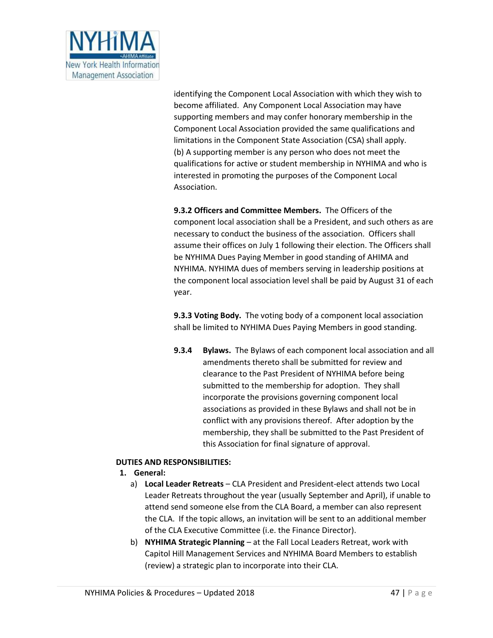

identifying the Component Local Association with which they wish to become affiliated. Any Component Local Association may have supporting members and may confer honorary membership in the Component Local Association provided the same qualifications and limitations in the Component State Association (CSA) shall apply. (b) A supporting member is any person who does not meet the qualifications for active or student membership in NYHIMA and who is interested in promoting the purposes of the Component Local Association.

**9.3.2 Officers and Committee Members.** The Officers of the component local association shall be a President, and such others as are necessary to conduct the business of the association. Officers shall assume their offices on July 1 following their election. The Officers shall be NYHIMA Dues Paying Member in good standing of AHIMA and NYHIMA. NYHIMA dues of members serving in leadership positions at the component local association level shall be paid by August 31 of each year.

**9.3.3 Voting Body.** The voting body of a component local association shall be limited to NYHIMA Dues Paying Members in good standing.

**9.3.4 Bylaws.** The Bylaws of each component local association and all amendments thereto shall be submitted for review and clearance to the Past President of NYHIMA before being submitted to the membership for adoption. They shall incorporate the provisions governing component local associations as provided in these Bylaws and shall not be in conflict with any provisions thereof. After adoption by the membership, they shall be submitted to the Past President of this Association for final signature of approval.

## **DUTIES AND RESPONSIBILITIES:**

- **1. General:** 
	- a) **Local Leader Retreats** CLA President and President-elect attends two Local Leader Retreats throughout the year (usually September and April), if unable to attend send someone else from the CLA Board, a member can also represent the CLA. If the topic allows, an invitation will be sent to an additional member of the CLA Executive Committee (i.e. the Finance Director).
	- b) **NYHIMA Strategic Planning** at the Fall Local Leaders Retreat, work with Capitol Hill Management Services and NYHIMA Board Members to establish (review) a strategic plan to incorporate into their CLA.